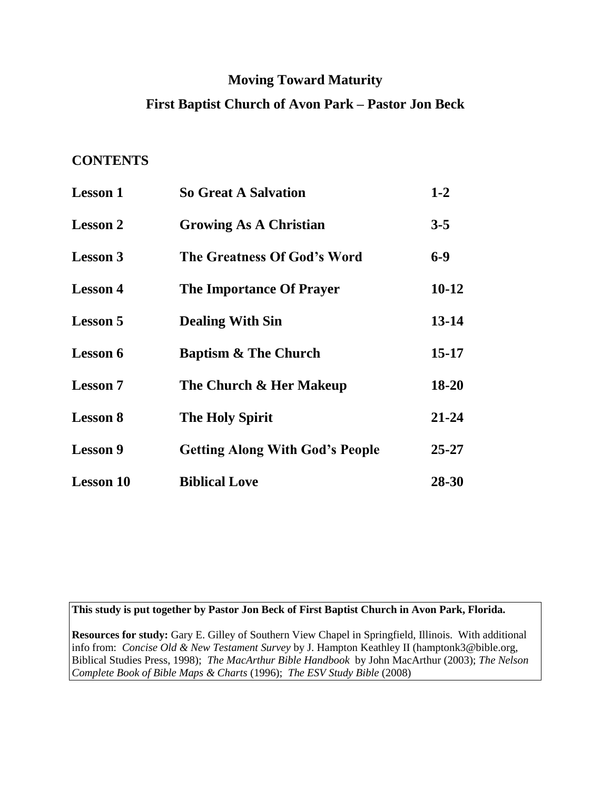# **Moving Toward Maturity**

# **First Baptist Church of Avon Park – Pastor Jon Beck**

# **CONTENTS**

| <b>Lesson 1</b>  | <b>So Great A Salvation</b>            | $1-2$     |
|------------------|----------------------------------------|-----------|
| <b>Lesson 2</b>  | <b>Growing As A Christian</b>          | $3 - 5$   |
| <b>Lesson 3</b>  | The Greatness Of God's Word            | $6-9$     |
| <b>Lesson 4</b>  | <b>The Importance Of Prayer</b>        | $10 - 12$ |
| <b>Lesson 5</b>  | <b>Dealing With Sin</b>                | 13-14     |
| <b>Lesson 6</b>  | <b>Baptism &amp; The Church</b>        | $15 - 17$ |
| <b>Lesson 7</b>  | The Church & Her Makeup                | 18-20     |
| <b>Lesson 8</b>  | <b>The Holy Spirit</b>                 | 21-24     |
| <b>Lesson 9</b>  | <b>Getting Along With God's People</b> | $25 - 27$ |
| <b>Lesson 10</b> | <b>Biblical Love</b>                   | 28-30     |

**This study is put together by Pastor Jon Beck of First Baptist Church in Avon Park, Florida.** 

**Resources for study:** Gary E. Gilley of Southern View Chapel in Springfield, Illinois. With additional info from:*Concise Old & New Testament Survey* by J. Hampton Keathley II (hamptonk3@bible.org, Biblical Studies Press, 1998); *The MacArthur Bible Handbook* by John MacArthur (2003); *The Nelson Complete Book of Bible Maps & Charts* (1996); *The ESV Study Bible* (2008)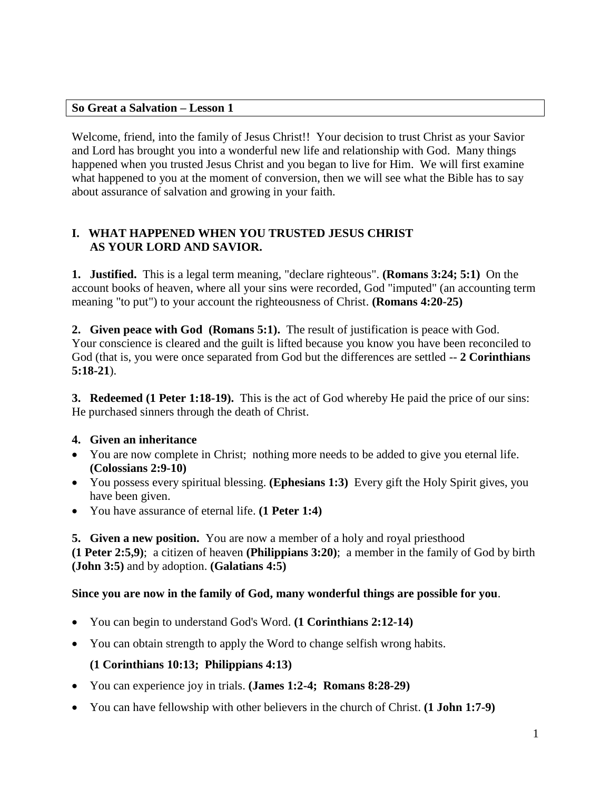### **So Great a Salvation – Lesson 1**

Welcome, friend, into the family of Jesus Christ!! Your decision to trust Christ as your Savior and Lord has brought you into a wonderful new life and relationship with God. Many things happened when you trusted Jesus Christ and you began to live for Him. We will first examine what happened to you at the moment of conversion, then we will see what the Bible has to say about assurance of salvation and growing in your faith.

# **I. WHAT HAPPENED WHEN YOU TRUSTED JESUS CHRIST AS YOUR LORD AND SAVIOR.**

**1. Justified.** This is a legal term meaning, "declare righteous". **(Romans 3:24; 5:1)** On the account books of heaven, where all your sins were recorded, God "imputed" (an accounting term meaning "to put") to your account the righteousness of Christ. **(Romans 4:20-25)**

**2. Given peace with God (Romans 5:1).** The result of justification is peace with God. Your conscience is cleared and the guilt is lifted because you know you have been reconciled to God (that is, you were once separated from God but the differences are settled -- **2 Corinthians 5:18-21**).

**3. Redeemed (1 Peter 1:18-19).** This is the act of God whereby He paid the price of our sins: He purchased sinners through the death of Christ.

# **4. Given an inheritance**

- You are now complete in Christ; nothing more needs to be added to give you eternal life. **(Colossians 2:9-10)**
- You possess every spiritual blessing. **(Ephesians 1:3)** Every gift the Holy Spirit gives, you have been given.
- You have assurance of eternal life. **(1 Peter 1:4)**

**5. Given a new position.** You are now a member of a holy and royal priesthood

**(1 Peter 2:5,9)**; a citizen of heaven **(Philippians 3:20)**; a member in the family of God by birth **(John 3:5)** and by adoption. **(Galatians 4:5)**

# **Since you are now in the family of God, many wonderful things are possible for you**.

- You can begin to understand God's Word. **(1 Corinthians 2:12-14)**
- You can obtain strength to apply the Word to change selfish wrong habits.

# **(1 Corinthians 10:13; Philippians 4:13)**

- You can experience joy in trials. **(James 1:2-4; Romans 8:28-29)**
- You can have fellowship with other believers in the church of Christ. **(1 John 1:7-9)**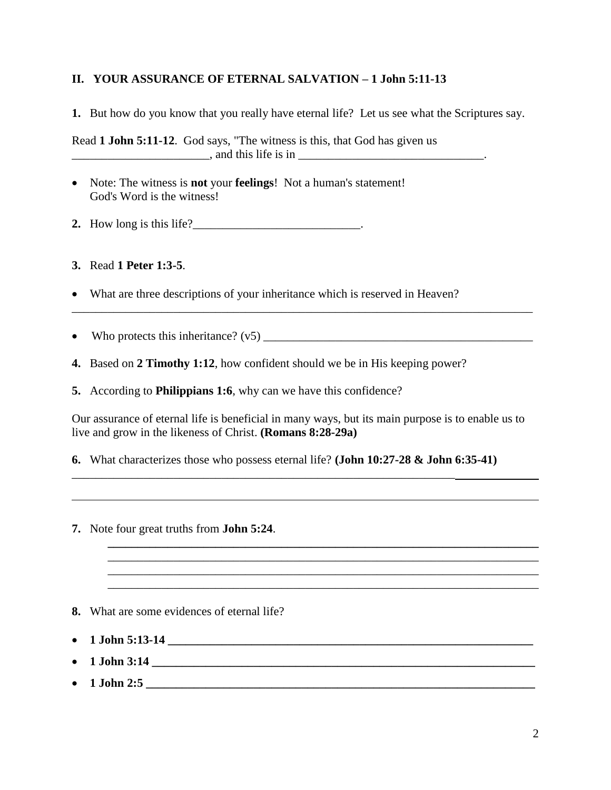### **II. YOUR ASSURANCE OF ETERNAL SALVATION – 1 John 5:11-13**

**1.** But how do you know that you really have eternal life? Let us see what the Scriptures say.

Read **1 John 5:11-12**. God says, "The witness is this, that God has given us  $\Box$ , and this life is in  $\Box$ 

- Note: The witness is **not** your **feelings**! Not a human's statement! God's Word is the witness!
- **2.** How long is this life?\_\_\_\_\_\_\_\_\_\_\_\_\_\_\_\_\_\_\_\_\_\_\_\_\_\_\_\_.

**3.** Read **1 Peter 1:3-5**.

- What are three descriptions of your inheritance which is reserved in Heaven?
- Who protects this inheritance?  $(v5)$
- **4.** Based on **2 Timothy 1:12**, how confident should we be in His keeping power?
- **5.** According to **Philippians 1:6**, why can we have this confidence?

Our assurance of eternal life is beneficial in many ways, but its main purpose is to enable us to live and grow in the likeness of Christ. **(Romans 8:28-29a)**

**\_\_\_\_\_\_\_\_\_\_\_\_\_\_\_\_\_\_\_\_\_\_\_\_\_\_\_\_\_\_\_\_\_\_\_\_\_\_\_\_\_\_\_\_\_\_\_\_\_\_\_\_\_\_\_\_\_\_\_\_\_\_\_\_\_\_\_\_\_\_\_\_**

\_\_\_\_\_\_\_\_\_\_\_\_\_\_\_\_\_\_\_\_\_\_\_\_\_\_\_\_\_\_\_\_\_\_\_\_\_\_\_\_\_\_\_\_\_\_\_\_\_\_\_\_\_\_\_\_\_\_\_\_\_\_\_\_\_\_\_\_\_\_\_\_ \_\_\_\_\_\_\_\_\_\_\_\_\_\_\_\_\_\_\_\_\_\_\_\_\_\_\_\_\_\_\_\_\_\_\_\_\_\_\_\_\_\_\_\_\_\_\_\_\_\_\_\_\_\_\_\_\_\_\_\_\_\_\_\_\_\_\_\_\_\_\_\_

\_\_\_\_\_\_\_\_\_\_\_\_\_\_\_\_\_\_\_\_\_\_\_\_\_\_\_\_\_\_\_\_\_\_\_\_\_\_\_\_\_\_\_\_\_\_\_\_\_\_\_\_\_\_\_\_\_\_\_\_\_\_\_\_\_\_\_\_\_\_\_\_\_\_\_\_\_

**6.** What characterizes those who possess eternal life? **(John 10:27-28 & John 6:35-41)**

\_\_\_\_\_\_\_\_\_\_\_\_\_\_\_\_\_\_\_\_\_\_\_\_\_\_\_\_\_\_\_\_\_\_\_\_\_\_\_\_\_\_\_\_\_\_\_\_\_\_\_\_\_\_\_\_\_\_\_\_\_\_\_\_

**7.** Note four great truths from **John 5:24**.

**8.** What are some evidences of eternal life?

- **1 John 5:13-14 \_\_\_\_\_\_\_\_\_\_\_\_\_\_\_\_\_\_\_\_\_\_\_\_\_\_\_\_\_\_\_\_\_\_\_\_\_\_\_\_\_\_\_\_\_\_\_\_\_\_\_\_\_\_\_\_\_\_\_\_\_**
- $\bullet$  1 John 3:14
- **1 John 2:5 \_\_\_\_\_\_\_\_\_\_\_\_\_\_\_\_\_\_\_\_\_\_\_\_\_\_\_\_\_\_\_\_\_\_\_\_\_\_\_\_\_\_\_\_\_\_\_\_\_\_\_\_\_\_\_\_\_\_\_\_\_\_\_\_\_**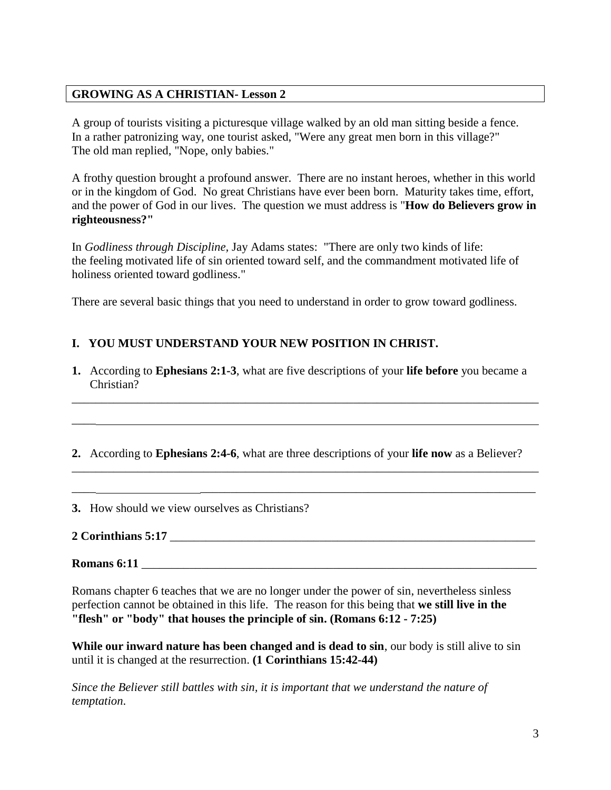### **GROWING AS A CHRISTIAN- Lesson 2**

A group of tourists visiting a picturesque village walked by an old man sitting beside a fence. In a rather patronizing way, one tourist asked, "Were any great men born in this village?" The old man replied, "Nope, only babies."

A frothy question brought a profound answer. There are no instant heroes, whether in this world or in the kingdom of God. No great Christians have ever been born. Maturity takes time, effort, and the power of God in our lives. The question we must address is "**How do Believers grow in righteousness?"**

In *Godliness through Discipline,* Jay Adams states: "There are only two kinds of life: the feeling motivated life of sin oriented toward self, and the commandment motivated life of holiness oriented toward godliness."

There are several basic things that you need to understand in order to grow toward godliness.

# **I. YOU MUST UNDERSTAND YOUR NEW POSITION IN CHRIST.**

**1.** According to **Ephesians 2:1-3**, what are five descriptions of your **life before** you became a Christian?

\_\_\_\_\_\_\_\_\_\_\_\_\_\_\_\_\_\_\_\_\_\_\_\_\_\_\_\_\_\_\_\_\_\_\_\_\_\_\_\_\_\_\_\_\_\_\_\_\_\_\_\_\_\_\_\_\_\_\_\_\_\_\_\_\_\_\_\_\_\_\_\_\_\_\_\_\_\_

**2.** According to **Ephesians 2:4-6**, what are three descriptions of your **life now** as a Believer?

\_\_\_\_\_\_\_\_\_\_\_\_\_\_\_\_\_\_\_\_\_\_\_\_\_\_\_\_\_\_\_\_\_\_\_\_\_\_\_\_\_\_\_\_\_\_\_\_\_\_\_\_\_\_\_\_\_\_\_\_\_\_\_\_\_\_\_\_\_\_\_\_\_\_\_\_\_\_

\_\_\_\_ \_\_\_\_\_\_\_\_\_\_\_\_\_\_\_\_\_\_\_\_\_\_\_\_\_\_\_\_\_\_\_\_\_\_\_\_\_\_\_\_\_\_\_\_\_\_\_\_\_\_\_\_\_\_\_\_

**3.** How should we view ourselves as Christians?

# **2 Corinthians 5:17** \_\_\_\_\_\_\_\_\_\_\_\_\_\_\_\_\_\_\_\_\_\_\_\_\_\_\_\_\_\_\_\_\_\_\_\_\_\_\_\_\_\_\_\_\_\_\_\_\_\_\_\_\_\_\_\_\_\_\_\_\_

\_\_\_\_

**Romans** 6:11

Romans chapter 6 teaches that we are no longer under the power of sin, nevertheless sinless perfection cannot be obtained in this life. The reason for this being that **we still live in the "flesh" or "body" that houses the principle of sin. (Romans 6:12 - 7:25)**

**While our inward nature has been changed and is dead to sin**, our body is still alive to sin until it is changed at the resurrection. **(1 Corinthians 15:42-44)**

*Since the Believer still battles with sin, it is important that we understand the nature of temptation*.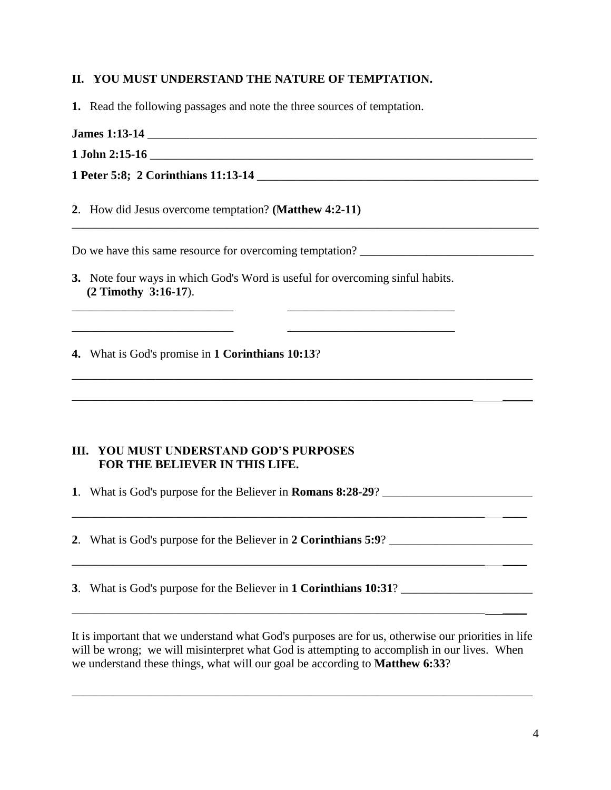### **II. YOU MUST UNDERSTAND THE NATURE OF TEMPTATION.**

- **1.** Read the following passages and note the three sources of temptation.
- **James 1:13-14** \_\_\_\_\_\_\_\_\_\_\_\_\_\_\_\_\_\_\_\_\_\_\_\_\_\_\_\_\_\_\_\_\_\_\_\_\_\_\_\_\_\_\_\_\_\_\_\_\_\_\_\_\_\_\_\_\_\_\_\_\_\_\_\_\_
- **1 John 2:15-16** \_\_\_\_\_\_\_\_\_\_\_\_\_\_\_\_\_\_\_\_\_\_\_\_\_\_\_\_\_\_\_\_\_\_\_\_\_\_\_\_\_\_\_\_\_\_\_\_\_\_\_\_\_\_\_\_\_\_\_\_\_\_\_\_
- **1 Peter 5:8; 2 Corinthians 11:13-14** \_\_\_\_\_\_\_\_\_\_\_\_\_\_\_\_\_\_\_\_\_\_\_\_\_\_\_\_\_\_\_\_\_\_\_\_\_\_\_\_\_\_\_\_\_\_\_
- **2**. How did Jesus overcome temptation? **(Matthew 4:2-11)**

Do we have this same resource for overcoming temptation?

**3.** Note four ways in which God's Word is useful for overcoming sinful habits.  **(2 Timothy 3:16-17**).

\_\_\_\_\_\_\_\_\_\_\_\_\_\_\_\_\_\_\_\_\_\_\_\_\_\_\_ \_\_\_\_\_\_\_\_\_\_\_\_\_\_\_\_\_\_\_\_\_\_\_\_\_\_\_\_

\_\_\_\_\_\_\_\_\_\_\_\_\_\_\_\_\_\_\_\_\_\_\_\_\_\_\_\_\_\_\_\_\_\_\_\_\_\_\_\_\_\_\_\_\_\_\_\_\_\_\_\_\_\_\_\_\_\_\_\_\_\_\_\_\_\_\_\_\_\_\_\_\_\_\_\_\_

\_\_\_\_\_\_\_\_\_\_\_\_\_\_\_\_\_\_\_\_\_\_\_\_\_\_\_\_\_\_\_\_\_\_\_\_\_\_\_\_\_\_\_\_\_\_\_\_\_\_\_\_\_\_\_\_\_\_\_\_\_\_\_\_\_\_\_ \_\_\_\_\_

\_\_\_\_\_\_\_\_\_\_\_\_\_\_\_\_\_\_\_\_\_\_\_\_\_\_\_\_\_\_\_\_\_\_\_\_\_\_\_\_\_\_\_\_\_\_\_\_\_\_\_\_\_\_\_\_\_\_\_\_\_\_\_\_\_\_\_\_\_ \_\_\_\_

\_\_\_\_\_\_\_\_\_\_\_\_\_\_\_\_\_\_\_\_\_\_\_\_\_\_\_\_\_\_\_\_\_\_\_\_\_\_\_\_\_\_\_\_\_\_\_\_\_\_\_\_\_\_\_\_\_\_\_\_\_\_\_\_\_\_\_\_\_ \_\_\_\_

\_\_\_\_\_\_\_\_\_\_\_\_\_\_\_\_\_\_\_\_\_\_\_\_\_\_\_\_\_\_\_\_\_\_\_\_\_\_\_\_\_\_\_\_\_\_\_\_\_\_\_\_\_\_\_\_\_\_\_\_\_\_\_\_\_\_\_\_\_ \_\_\_\_

**4.** What is God's promise in **1 Corinthians 10:13**?

### **III. YOU MUST UNDERSTAND GOD'S PURPOSES FOR THE BELIEVER IN THIS LIFE.**

**1**. What is God's purpose for the Believer in **Romans 8:28-29**? \_\_\_\_\_\_\_\_\_\_\_\_\_\_\_\_\_\_\_\_\_\_\_\_\_

**2**. What is God's purpose for the Believer in **2 Corinthians 5:9**?

**3**. What is God's purpose for the Believer in **1 Corinthians 10:31**? \_\_\_\_\_\_\_\_\_\_\_\_\_\_\_\_\_\_\_\_\_\_

It is important that we understand what God's purposes are for us, otherwise our priorities in life will be wrong; we will misinterpret what God is attempting to accomplish in our lives. When we understand these things, what will our goal be according to **Matthew 6:33**?

\_\_\_\_\_\_\_\_\_\_\_\_\_\_\_\_\_\_\_\_\_\_\_\_\_\_\_\_\_\_\_\_\_\_\_\_\_\_\_\_\_\_\_\_\_\_\_\_\_\_\_\_\_\_\_\_\_\_\_\_\_\_\_\_\_\_\_\_\_\_\_\_\_\_\_\_\_

\_\_\_\_\_\_\_\_\_\_\_\_\_\_\_\_\_\_\_\_\_\_\_\_\_\_\_\_\_\_\_\_\_\_\_\_\_\_\_\_\_\_\_\_\_\_\_\_\_\_\_\_\_\_\_\_\_\_\_\_\_\_\_\_\_\_\_\_\_\_\_\_\_\_\_\_\_\_

 $\frac{1}{2}$  , and the set of the set of the set of the set of the set of the set of the set of the set of the set of the set of the set of the set of the set of the set of the set of the set of the set of the set of the set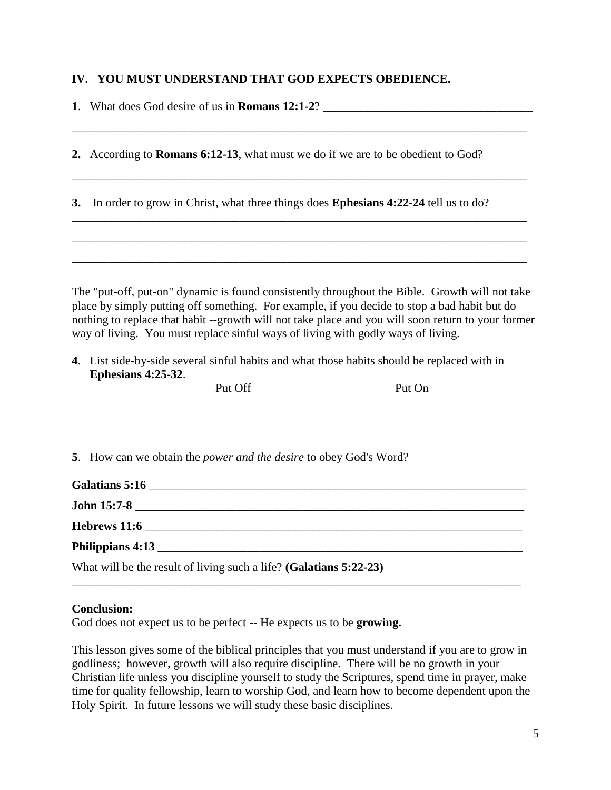### **IV. YOU MUST UNDERSTAND THAT GOD EXPECTS OBEDIENCE.**

| 1. What does God desire of us in <b>Romans 12:1-2</b> ? |  |
|---------------------------------------------------------|--|
|                                                         |  |

**2.** According to **Romans 6:12-13**, what must we do if we are to be obedient to God?

\_\_\_\_\_\_\_\_\_\_\_\_\_\_\_\_\_\_\_\_\_\_\_\_\_\_\_\_\_\_\_\_\_\_\_\_\_\_\_\_\_\_\_\_\_\_\_\_\_\_\_\_\_\_\_\_\_\_\_\_\_\_\_\_\_\_\_\_\_\_\_\_\_\_\_\_

\_\_\_\_\_\_\_\_\_\_\_\_\_\_\_\_\_\_\_\_\_\_\_\_\_\_\_\_\_\_\_\_\_\_\_\_\_\_\_\_\_\_\_\_\_\_\_\_\_\_\_\_\_\_\_\_\_\_\_\_\_\_\_\_\_\_\_\_\_\_\_\_\_\_\_\_

\_\_\_\_\_\_\_\_\_\_\_\_\_\_\_\_\_\_\_\_\_\_\_\_\_\_\_\_\_\_\_\_\_\_\_\_\_\_\_\_\_\_\_\_\_\_\_\_\_\_\_\_\_\_\_\_\_\_\_\_\_\_\_\_\_\_\_\_\_\_\_\_\_\_\_\_

\_\_\_\_\_\_\_\_\_\_\_\_\_\_\_\_\_\_\_\_\_\_\_\_\_\_\_\_\_\_\_\_\_\_\_\_\_\_\_\_\_\_\_\_\_\_\_\_\_\_\_\_\_\_\_\_\_\_\_\_\_\_\_\_\_\_\_\_\_\_\_\_\_\_\_\_

\_\_\_\_\_\_\_\_\_\_\_\_\_\_\_\_\_\_\_\_\_\_\_\_\_\_\_\_\_\_\_\_\_\_\_\_\_\_\_\_\_\_\_\_\_\_\_\_\_\_\_\_\_\_\_\_\_\_\_\_\_\_\_\_\_\_\_\_\_\_\_\_\_\_\_\_

**3.** In order to grow in Christ, what three things does **Ephesians 4:22-24** tell us to do?

| The "put-off, put-on" dynamic is found consistently throughout the Bible. Growth will not take     |  |  |  |
|----------------------------------------------------------------------------------------------------|--|--|--|
| place by simply putting off something. For example, if you decide to stop a bad habit but do       |  |  |  |
| nothing to replace that habit --growth will not take place and you will soon return to your former |  |  |  |
| way of living. You must replace sinful ways of living with godly ways of living.                   |  |  |  |

**4**. List side-by-side several sinful habits and what those habits should be replaced with in  **Ephesians 4:25-32**.

|  | Г<br>ı l |  |
|--|----------|--|
|  |          |  |

| Put Off | Put On |
|---------|--------|
|---------|--------|

**5**. How can we obtain the *power and the desire* to obey God's Word?

| John 15:7-8                                                        |  |  |
|--------------------------------------------------------------------|--|--|
| Hebrews 11:6                                                       |  |  |
|                                                                    |  |  |
| What will be the result of living such a life? (Galatians 5:22-23) |  |  |

\_\_\_\_\_\_\_\_\_\_\_\_\_\_\_\_\_\_\_\_\_\_\_\_\_\_\_\_\_\_\_\_\_\_\_\_\_\_\_\_\_\_\_\_\_\_\_\_\_\_\_\_\_\_\_\_\_\_\_\_\_\_\_\_\_\_\_\_\_\_\_\_\_\_\_

### **Conclusion:**

God does not expect us to be perfect -- He expects us to be **growing.**

This lesson gives some of the biblical principles that you must understand if you are to grow in godliness; however, growth will also require discipline. There will be no growth in your Christian life unless you discipline yourself to study the Scriptures, spend time in prayer, make time for quality fellowship, learn to worship God, and learn how to become dependent upon the Holy Spirit. In future lessons we will study these basic disciplines.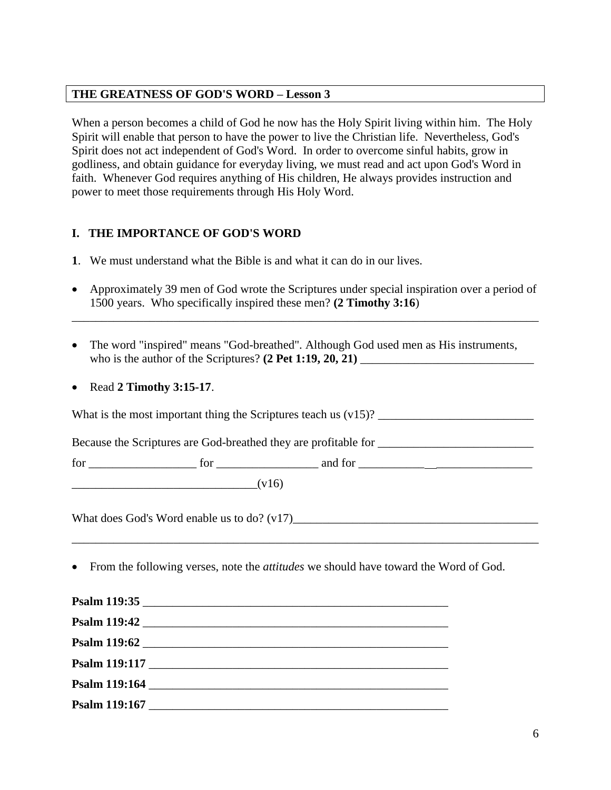### **THE GREATNESS OF GOD'S WORD – Lesson 3**

When a person becomes a child of God he now has the Holy Spirit living within him. The Holy Spirit will enable that person to have the power to live the Christian life. Nevertheless, God's Spirit does not act independent of God's Word. In order to overcome sinful habits, grow in godliness, and obtain guidance for everyday living, we must read and act upon God's Word in faith. Whenever God requires anything of His children, He always provides instruction and power to meet those requirements through His Holy Word.

# **I. THE IMPORTANCE OF GOD'S WORD**

- **1**. We must understand what the Bible is and what it can do in our lives.
- Approximately 39 men of God wrote the Scriptures under special inspiration over a period of 1500 years. Who specifically inspired these men? **(2 Timothy 3:16**)

\_\_\_\_\_\_\_\_\_\_\_\_\_\_\_\_\_\_\_\_\_\_\_\_\_\_\_\_\_\_\_\_\_\_\_\_\_\_\_\_\_\_\_\_\_\_\_\_\_\_\_\_\_\_\_\_\_\_\_\_\_\_\_\_\_\_\_\_\_\_\_\_\_\_\_\_\_\_

 The word "inspired" means "God-breathed". Although God used men as His instruments, who is the author of the Scriptures?  $(2$  **Pet 1:19, 20, 21**)

# Read **2 Timothy 3:15-17**.

| (v16) |                                                                                                                                                                                                                        |  |
|-------|------------------------------------------------------------------------------------------------------------------------------------------------------------------------------------------------------------------------|--|
|       |                                                                                                                                                                                                                        |  |
|       | <u> 1989 - John Stoff, deutscher Stoff, der Stoff, der Stoff, der Stoff, der Stoff, der Stoff, der Stoff, der Sto</u><br>• From the following verses, note the <i>attitudes</i> we should have toward the Word of God. |  |
|       |                                                                                                                                                                                                                        |  |
|       |                                                                                                                                                                                                                        |  |
|       |                                                                                                                                                                                                                        |  |
|       | Psalm 119:117                                                                                                                                                                                                          |  |

| <b>Psalm 119:164</b> |  |
|----------------------|--|
|                      |  |

**Psalm 119:167** \_\_\_\_\_\_\_\_\_\_\_\_\_\_\_\_\_\_\_\_\_\_\_\_\_\_\_\_\_\_\_\_\_\_\_\_\_\_\_\_\_\_\_\_\_\_\_\_\_\_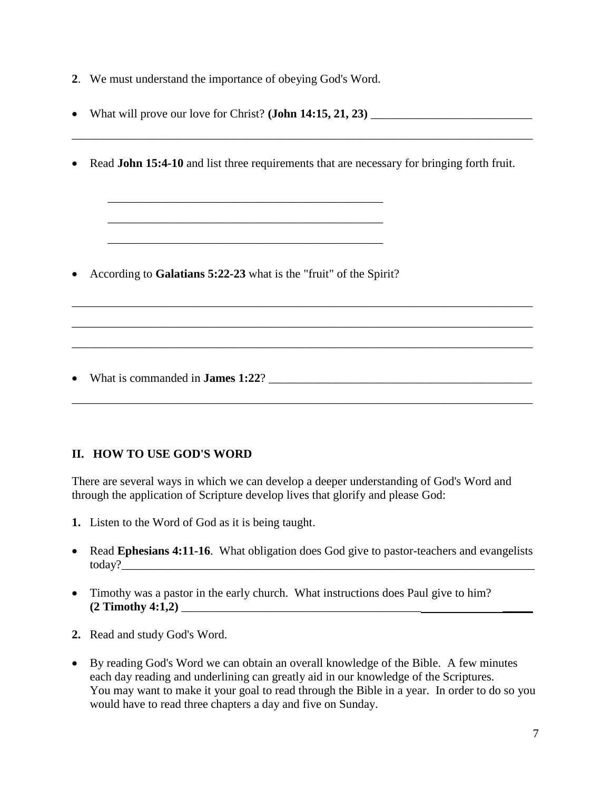- **2**. We must understand the importance of obeying God's Word.
- What will prove our love for Christ? **(John 14:15, 21, 23)** \_\_\_\_\_\_\_\_\_\_\_\_\_\_\_\_\_\_\_\_\_\_\_\_\_\_\_

\_\_\_\_\_\_\_\_\_\_\_\_\_\_\_\_\_\_\_\_\_\_\_\_\_\_\_\_\_\_\_\_\_\_\_\_\_\_\_\_\_\_\_\_\_\_\_\_\_\_\_\_\_\_\_\_\_\_\_\_\_\_\_\_\_\_\_\_\_\_\_\_\_\_\_\_\_

\_\_\_\_\_\_\_\_\_\_\_\_\_\_\_\_\_\_\_\_\_\_\_\_\_\_\_\_\_\_\_\_\_\_\_\_\_\_\_\_\_\_\_\_\_\_\_\_\_\_\_\_\_\_\_\_\_\_\_\_\_\_\_\_\_\_\_\_\_\_\_\_\_\_\_\_\_

\_\_\_\_\_\_\_\_\_\_\_\_\_\_\_\_\_\_\_\_\_\_\_\_\_\_\_\_\_\_\_\_\_\_\_\_\_\_\_\_\_\_\_\_\_\_\_\_\_\_\_\_\_\_\_\_\_\_\_\_\_\_\_\_\_\_\_\_\_\_\_\_\_\_\_\_\_

\_\_\_\_\_\_\_\_\_\_\_\_\_\_\_\_\_\_\_\_\_\_\_\_\_\_\_\_\_\_\_\_\_\_\_\_\_\_\_\_\_\_\_\_\_\_\_\_\_\_\_\_\_\_\_\_\_\_\_\_\_\_\_\_\_\_\_\_\_\_\_\_\_\_\_\_\_

\_\_\_\_\_\_\_\_\_\_\_\_\_\_\_\_\_\_\_\_\_\_\_\_\_\_\_\_\_\_\_\_\_\_\_\_\_\_\_\_\_\_\_\_\_\_\_\_\_\_\_\_\_\_\_\_\_\_\_\_\_\_\_\_\_\_\_\_\_\_\_\_\_\_\_\_\_

Read **John 15:4-10** and list three requirements that are necessary for bringing forth fruit.

According to **Galatians 5:22-23** what is the "fruit" of the Spirit?

\_\_\_\_\_\_\_\_\_\_\_\_\_\_\_\_\_\_\_\_\_\_\_\_\_\_\_\_\_\_\_\_\_\_\_\_\_\_\_\_\_\_\_\_\_\_

\_\_\_\_\_\_\_\_\_\_\_\_\_\_\_\_\_\_\_\_\_\_\_\_\_\_\_\_\_\_\_\_\_\_\_\_\_\_\_\_\_\_\_\_\_\_

\_\_\_\_\_\_\_\_\_\_\_\_\_\_\_\_\_\_\_\_\_\_\_\_\_\_\_\_\_\_\_\_\_\_\_\_\_\_\_\_\_\_\_\_\_\_

What is commanded in **James 1:22**? \_\_\_\_\_\_\_\_\_\_\_\_\_\_\_\_\_\_\_\_\_\_\_\_\_\_\_\_\_\_\_\_\_\_\_\_\_\_\_\_\_\_\_\_

### **II. HOW TO USE GOD'S WORD**

There are several ways in which we can develop a deeper understanding of God's Word and through the application of Scripture develop lives that glorify and please God:

- **1.** Listen to the Word of God as it is being taught.
- Read **Ephesians 4:11-16**. What obligation does God give to pastor-teachers and evangelists today?\_\_\_\_\_\_\_\_\_\_\_\_\_\_\_\_\_\_\_\_\_\_\_\_\_\_\_\_\_\_\_\_\_\_\_\_\_\_\_\_\_\_\_\_\_\_\_\_\_\_\_\_\_\_\_\_\_\_\_\_\_\_\_\_\_\_\_\_\_
- Timothy was a pastor in the early church. What instructions does Paul give to him? **(2 Timothy 4:1,2)** \_\_\_\_\_\_\_\_\_\_\_\_\_\_\_\_\_\_\_\_\_\_\_\_\_\_\_\_\_\_\_\_\_\_\_\_\_\_\_\_ \_\_\_\_\_
- **2.** Read and study God's Word.
- By reading God's Word we can obtain an overall knowledge of the Bible. A few minutes each day reading and underlining can greatly aid in our knowledge of the Scriptures. You may want to make it your goal to read through the Bible in a year. In order to do so you would have to read three chapters a day and five on Sunday.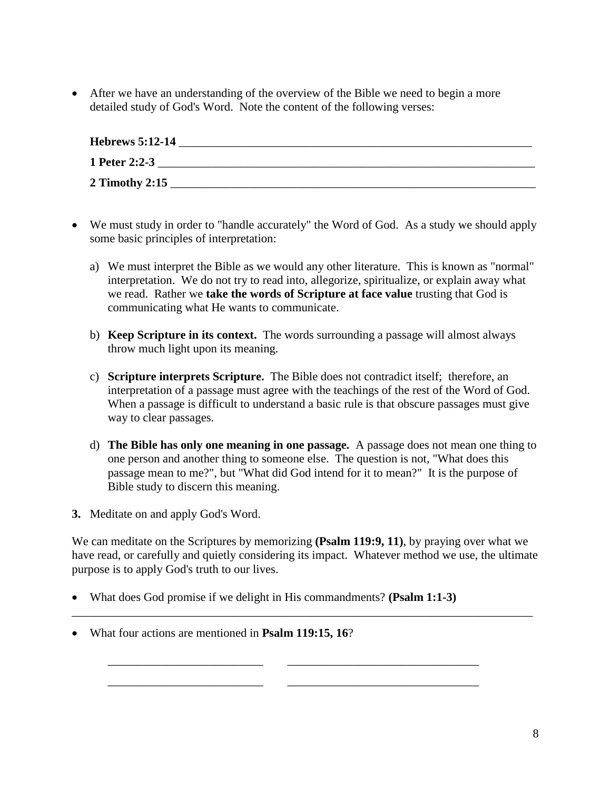After we have an understanding of the overview of the Bible we need to begin a more detailed study of God's Word. Note the content of the following verses:

| <b>Hebrews 5:12-14</b> |  |
|------------------------|--|
| 1 Peter 2:2-3          |  |
| 2 Timothy 2:15         |  |

- We must study in order to "handle accurately" the Word of God. As a study we should apply some basic principles of interpretation:
	- a) We must interpret the Bible as we would any other literature. This is known as "normal" interpretation. We do not try to read into, allegorize, spiritualize, or explain away what we read. Rather we **take the words of Scripture at face value** trusting that God is communicating what He wants to communicate.
	- b) **Keep Scripture in its context.** The words surrounding a passage will almost always throw much light upon its meaning.
	- c) **Scripture interprets Scripture.** The Bible does not contradict itself; therefore, an interpretation of a passage must agree with the teachings of the rest of the Word of God. When a passage is difficult to understand a basic rule is that obscure passages must give way to clear passages.
	- d) **The Bible has only one meaning in one passage.** A passage does not mean one thing to one person and another thing to someone else. The question is not, "What does this passage mean to me?", but "What did God intend for it to mean?" It is the purpose of Bible study to discern this meaning.
- **3.** Meditate on and apply God's Word.

We can meditate on the Scriptures by memorizing **(Psalm 119:9, 11)**, by praying over what we have read, or carefully and quietly considering its impact. Whatever method we use, the ultimate purpose is to apply God's truth to our lives.

\_\_\_\_\_\_\_\_\_\_\_\_\_\_\_\_\_\_\_\_\_\_\_\_\_\_\_\_\_\_\_\_\_\_\_\_\_\_\_\_\_\_\_\_\_\_\_\_\_\_\_\_\_\_\_\_\_\_\_\_\_\_\_\_\_\_\_\_\_\_\_\_\_\_\_\_\_

\_\_\_\_\_\_\_\_\_\_\_\_\_\_\_\_\_\_\_\_\_\_\_\_\_\_ \_\_\_\_\_\_\_\_\_\_\_\_\_\_\_\_\_\_\_\_\_\_\_\_\_\_\_\_\_\_\_\_

\_\_\_\_\_\_\_\_\_\_\_\_\_\_\_\_\_\_\_\_\_\_\_\_\_\_ \_\_\_\_\_\_\_\_\_\_\_\_\_\_\_\_\_\_\_\_\_\_\_\_\_\_\_\_\_\_\_\_

- What does God promise if we delight in His commandments? **(Psalm 1:1-3)**
- What four actions are mentioned in **Psalm 119:15, 16**?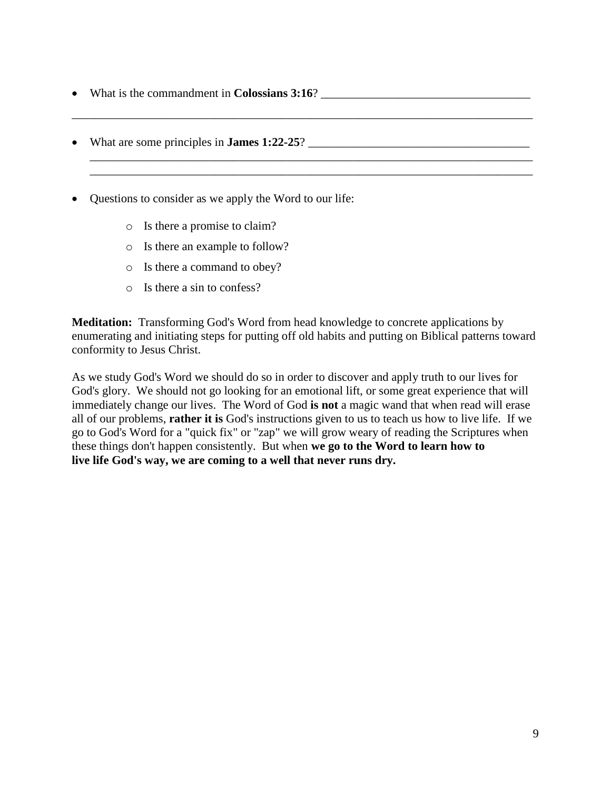- What is the commandment in **Colossians 3:16**?
- What are some principles in **James 1:22-25**? \_\_\_\_\_\_\_\_\_\_\_\_\_\_\_\_\_\_\_\_\_\_\_\_\_\_\_\_\_\_\_\_\_\_\_\_\_
- Ouestions to consider as we apply the Word to our life:
	- o Is there a promise to claim?
	- o Is there an example to follow?
	- o Is there a command to obey?
	- o Is there a sin to confess?

**Meditation:** Transforming God's Word from head knowledge to concrete applications by enumerating and initiating steps for putting off old habits and putting on Biblical patterns toward conformity to Jesus Christ.

\_\_\_\_\_\_\_\_\_\_\_\_\_\_\_\_\_\_\_\_\_\_\_\_\_\_\_\_\_\_\_\_\_\_\_\_\_\_\_\_\_\_\_\_\_\_\_\_\_\_\_\_\_\_\_\_\_\_\_\_\_\_\_\_\_\_\_\_\_\_\_\_\_\_\_\_\_

\_\_\_\_\_\_\_\_\_\_\_\_\_\_\_\_\_\_\_\_\_\_\_\_\_\_\_\_\_\_\_\_\_\_\_\_\_\_\_\_\_\_\_\_\_\_\_\_\_\_\_\_\_\_\_\_\_\_\_\_\_\_\_\_\_\_\_\_\_\_\_\_\_\_

 $\overline{\phantom{a}}$  , and the set of the set of the set of the set of the set of the set of the set of the set of the set of the set of the set of the set of the set of the set of the set of the set of the set of the set of the s

As we study God's Word we should do so in order to discover and apply truth to our lives for God's glory. We should not go looking for an emotional lift, or some great experience that will immediately change our lives. The Word of God **is not** a magic wand that when read will erase all of our problems, **rather it is** God's instructions given to us to teach us how to live life. If we go to God's Word for a "quick fix" or "zap" we will grow weary of reading the Scriptures when these things don't happen consistently. But when **we go to the Word to learn how to live life God's way, we are coming to a well that never runs dry.**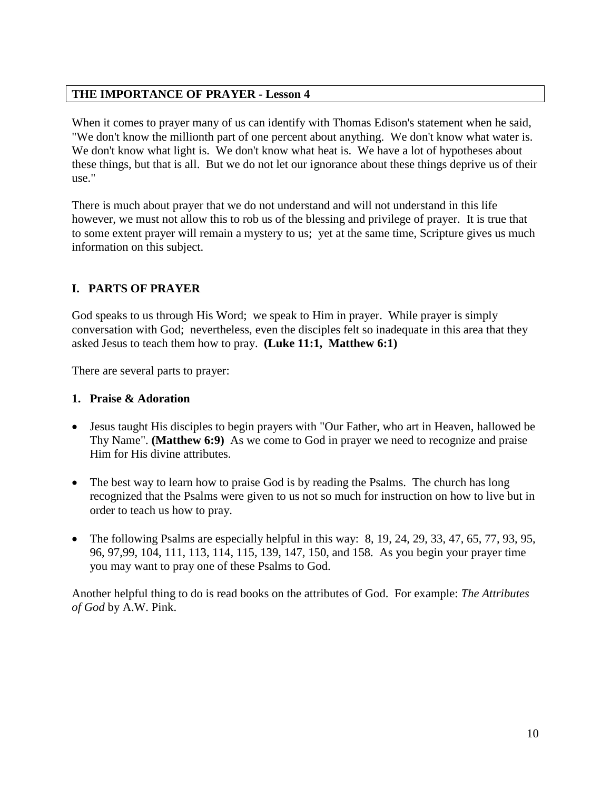### **THE IMPORTANCE OF PRAYER - Lesson 4**

When it comes to prayer many of us can identify with Thomas Edison's statement when he said, "We don't know the millionth part of one percent about anything. We don't know what water is. We don't know what light is. We don't know what heat is. We have a lot of hypotheses about these things, but that is all. But we do not let our ignorance about these things deprive us of their use."

There is much about prayer that we do not understand and will not understand in this life however, we must not allow this to rob us of the blessing and privilege of prayer. It is true that to some extent prayer will remain a mystery to us; yet at the same time, Scripture gives us much information on this subject.

# **I. PARTS OF PRAYER**

God speaks to us through His Word; we speak to Him in prayer. While prayer is simply conversation with God; nevertheless, even the disciples felt so inadequate in this area that they asked Jesus to teach them how to pray. **(Luke 11:1, Matthew 6:1)**

There are several parts to prayer:

### **1. Praise & Adoration**

- Jesus taught His disciples to begin prayers with "Our Father, who art in Heaven, hallowed be Thy Name". **(Matthew 6:9)** As we come to God in prayer we need to recognize and praise Him for His divine attributes.
- The best way to learn how to praise God is by reading the Psalms. The church has long recognized that the Psalms were given to us not so much for instruction on how to live but in order to teach us how to pray.
- $\bullet$  The following Psalms are especially helpful in this way: 8, 19, 24, 29, 33, 47, 65, 77, 93, 95, 96, 97,99, 104, 111, 113, 114, 115, 139, 147, 150, and 158. As you begin your prayer time you may want to pray one of these Psalms to God.

Another helpful thing to do is read books on the attributes of God. For example: *The Attributes of God* by A.W. Pink.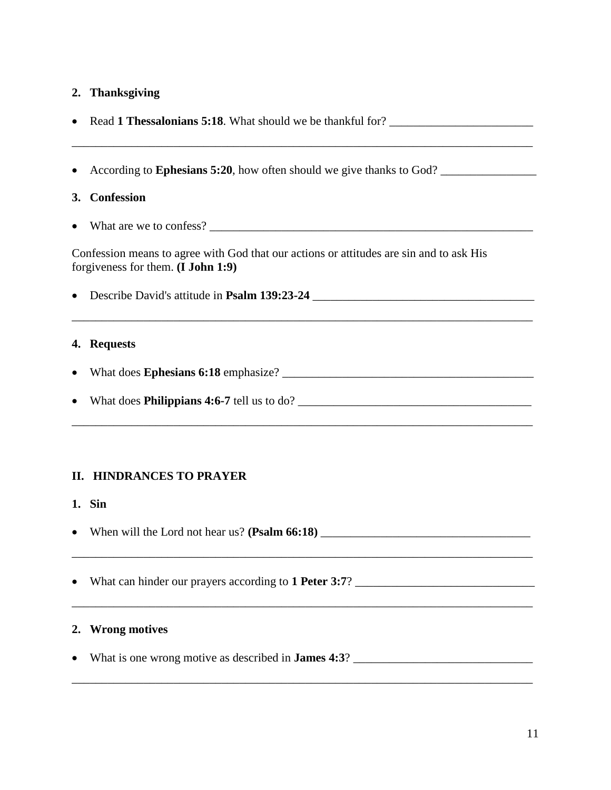# **2. Thanksgiving**

|                                                                                                                                 | • Read 1 Thessalonians 5:18. What should we be thankful for?                      |  |  |
|---------------------------------------------------------------------------------------------------------------------------------|-----------------------------------------------------------------------------------|--|--|
|                                                                                                                                 | According to <b>Ephesians 5:20</b> , how often should we give thanks to God?      |  |  |
|                                                                                                                                 | 3. Confession                                                                     |  |  |
|                                                                                                                                 |                                                                                   |  |  |
| Confession means to agree with God that our actions or attitudes are sin and to ask His<br>forgiveness for them. $(I John 1:9)$ |                                                                                   |  |  |
|                                                                                                                                 | ,我们也不能在这里的时候,我们也不能在这里的时候,我们也不能会在这里的时候,我们也不能会在这里的时候,我们也不能会在这里的时候,我们也不能会在这里的时候,我们也不 |  |  |
|                                                                                                                                 | 4. Requests                                                                       |  |  |
|                                                                                                                                 |                                                                                   |  |  |
|                                                                                                                                 | What does <b>Philippians 4:6-7</b> tell us to do?                                 |  |  |

### **II. HINDRANCES TO PRAYER**

- **1. Sin**
- When will the Lord not hear us? **(Psalm 66:18)** \_\_\_\_\_\_\_\_\_\_\_\_\_\_\_\_\_\_\_\_\_\_\_\_\_\_\_\_\_\_\_\_\_\_\_
- What can hinder our prayers according to **1 Peter 3:7**? \_\_\_\_\_\_\_\_\_\_\_\_\_\_\_\_\_\_\_\_\_\_\_\_\_\_\_\_\_\_

### **2. Wrong motives**

What is one wrong motive as described in **James 4:3**? \_\_\_\_\_\_\_\_\_\_\_\_\_\_\_\_\_\_\_\_\_\_\_\_\_\_\_\_\_\_

\_\_\_\_\_\_\_\_\_\_\_\_\_\_\_\_\_\_\_\_\_\_\_\_\_\_\_\_\_\_\_\_\_\_\_\_\_\_\_\_\_\_\_\_\_\_\_\_\_\_\_\_\_\_\_\_\_\_\_\_\_\_\_\_\_\_\_\_\_\_\_\_\_\_\_\_\_

\_\_\_\_\_\_\_\_\_\_\_\_\_\_\_\_\_\_\_\_\_\_\_\_\_\_\_\_\_\_\_\_\_\_\_\_\_\_\_\_\_\_\_\_\_\_\_\_\_\_\_\_\_\_\_\_\_\_\_\_\_\_\_\_\_\_\_\_\_\_\_\_\_\_\_\_\_

\_\_\_\_\_\_\_\_\_\_\_\_\_\_\_\_\_\_\_\_\_\_\_\_\_\_\_\_\_\_\_\_\_\_\_\_\_\_\_\_\_\_\_\_\_\_\_\_\_\_\_\_\_\_\_\_\_\_\_\_\_\_\_\_\_\_\_\_\_\_\_\_\_\_\_\_\_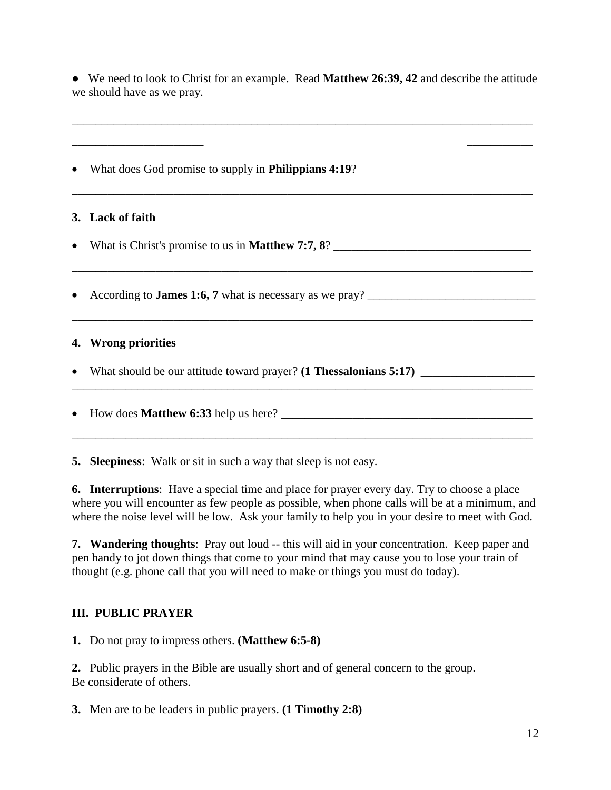● We need to look to Christ for an example. Read **Matthew 26:39, 42** and describe the attitude we should have as we pray.

\_\_\_\_\_\_\_\_\_\_\_\_\_\_\_\_\_\_\_\_\_\_\_\_\_\_\_\_\_\_\_\_\_\_\_\_\_\_\_\_\_\_\_\_\_\_\_\_\_\_\_\_\_\_\_\_\_\_\_\_\_\_\_\_\_\_\_\_\_\_\_\_\_\_\_\_\_

 $\overline{\phantom{a}}$  , and the contract of the contract of the contract of the contract of the contract of the contract of the contract of the contract of the contract of the contract of the contract of the contract of the contrac

\_\_\_\_\_\_\_\_\_\_\_\_\_\_\_\_\_\_\_\_\_\_\_\_\_\_\_\_\_\_\_\_\_\_\_\_\_\_\_\_\_\_\_\_\_\_\_\_\_\_\_\_\_\_\_\_\_\_\_\_\_\_\_\_\_\_\_\_\_\_\_\_\_\_\_\_\_

\_\_\_\_\_\_\_\_\_\_\_\_\_\_\_\_\_\_\_\_\_\_\_\_\_\_\_\_\_\_\_\_\_\_\_\_\_\_\_\_\_\_\_\_\_\_\_\_\_\_\_\_\_\_\_\_\_\_\_\_\_\_\_\_\_\_\_\_\_\_\_\_\_\_\_\_\_

What does God promise to supply in **Philippians 4:19**?

# **3. Lack of faith**

What is Christ's promise to us in **Matthew 7:7, 8**? \_\_\_\_\_\_\_\_\_\_\_\_\_\_\_\_\_\_\_\_\_\_\_\_\_\_\_\_\_\_\_\_\_

According to **James 1:6, 7** what is necessary as we pray? \_\_\_\_\_\_\_\_\_\_\_\_\_\_\_\_\_\_\_\_\_\_\_\_\_\_\_\_

### **4. Wrong priorities**

What should be our attitude toward prayer? **(1 Thessalonians 5:17)** \_\_\_\_\_\_\_\_\_\_\_\_\_\_\_\_\_\_\_

How does **Matthew 6:33** help us here? \_\_\_\_\_\_\_\_\_\_\_\_\_\_\_\_\_\_\_\_\_\_\_\_\_\_\_\_\_\_\_\_\_\_\_\_\_\_\_\_\_\_

**5. Sleepiness**: Walk or sit in such a way that sleep is not easy.

**6. Interruptions**: Have a special time and place for prayer every day. Try to choose a place where you will encounter as few people as possible, when phone calls will be at a minimum, and where the noise level will be low. Ask your family to help you in your desire to meet with God.

\_\_\_\_\_\_\_\_\_\_\_\_\_\_\_\_\_\_\_\_\_\_\_\_\_\_\_\_\_\_\_\_\_\_\_\_\_\_\_\_\_\_\_\_\_\_\_\_\_\_\_\_\_\_\_\_\_\_\_\_\_\_\_\_\_\_\_\_\_\_\_\_\_\_\_\_\_

**7. Wandering thoughts**: Pray out loud -- this will aid in your concentration. Keep paper and pen handy to jot down things that come to your mind that may cause you to lose your train of thought (e.g. phone call that you will need to make or things you must do today).

# **III. PUBLIC PRAYER**

**1.** Do not pray to impress others. **(Matthew 6:5-8)**

**2.** Public prayers in the Bible are usually short and of general concern to the group. Be considerate of others.

**3.** Men are to be leaders in public prayers. **(1 Timothy 2:8)**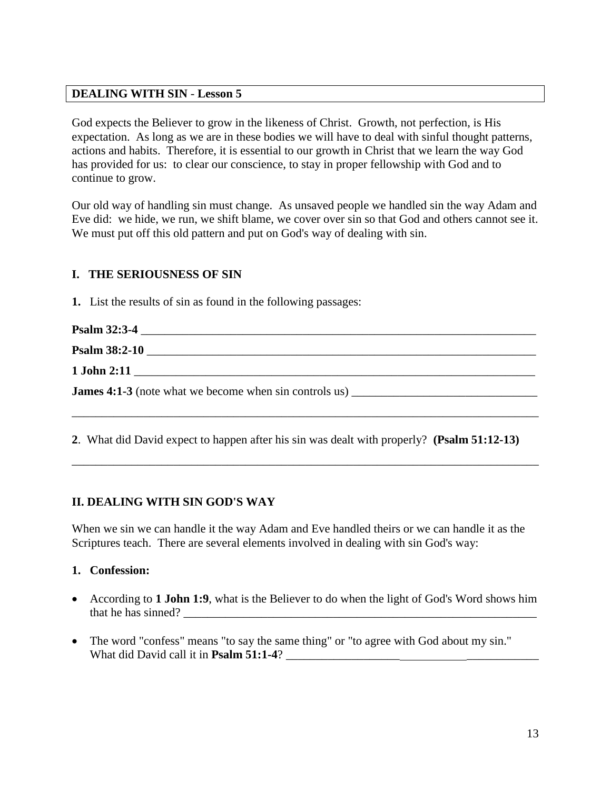### **DEALING WITH SIN** - **Lesson 5**

God expects the Believer to grow in the likeness of Christ. Growth, not perfection, is His expectation. As long as we are in these bodies we will have to deal with sinful thought patterns, actions and habits. Therefore, it is essential to our growth in Christ that we learn the way God has provided for us: to clear our conscience, to stay in proper fellowship with God and to continue to grow.

Our old way of handling sin must change. As unsaved people we handled sin the way Adam and Eve did: we hide, we run, we shift blame, we cover over sin so that God and others cannot see it. We must put off this old pattern and put on God's way of dealing with sin.

# **I. THE SERIOUSNESS OF SIN**

**1.** List the results of sin as found in the following passages:

| Psalm 38:2-10 |
|---------------|
|               |
|               |
|               |

**2**. What did David expect to happen after his sin was dealt with properly? **(Psalm 51:12-13)**

\_\_\_\_\_\_\_\_\_\_\_\_\_\_\_\_\_\_\_\_\_\_\_\_\_\_\_\_\_\_\_\_\_\_\_\_\_\_\_\_\_\_\_\_\_\_\_\_\_\_\_\_\_\_\_\_\_\_\_\_\_\_\_\_\_\_\_\_\_\_\_\_\_\_\_\_\_\_

# **II. DEALING WITH SIN GOD'S WAY**

When we sin we can handle it the way Adam and Eve handled theirs or we can handle it as the Scriptures teach. There are several elements involved in dealing with sin God's way:

### **1. Confession:**

- According to **1 John 1:9**, what is the Believer to do when the light of God's Word shows him that he has sinned?
- The word "confess" means "to say the same thing" or "to agree with God about my sin." What did David call it in **Psalm 51:1-4**?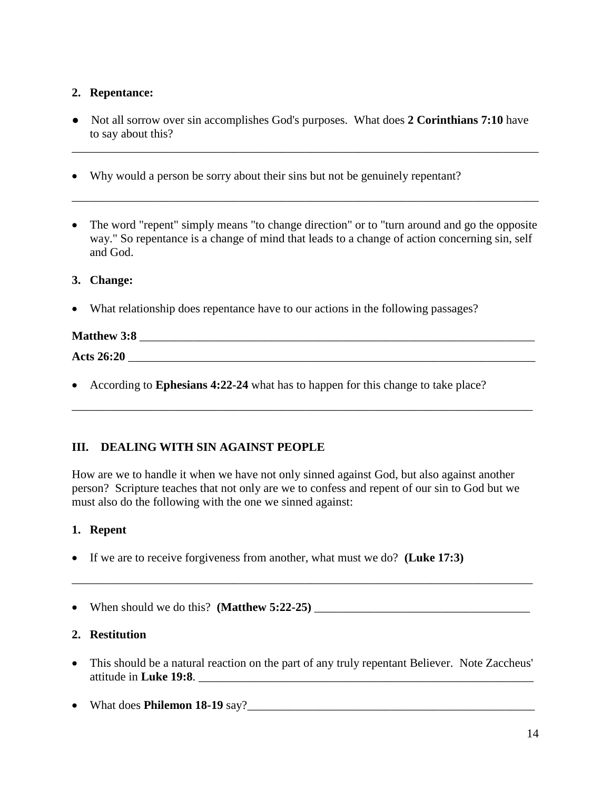### **2. Repentance:**

● Not all sorrow over sin accomplishes God's purposes. What does **2 Corinthians 7:10** have to say about this?

\_\_\_\_\_\_\_\_\_\_\_\_\_\_\_\_\_\_\_\_\_\_\_\_\_\_\_\_\_\_\_\_\_\_\_\_\_\_\_\_\_\_\_\_\_\_\_\_\_\_\_\_\_\_\_\_\_\_\_\_\_\_\_\_\_\_\_\_\_\_\_\_\_\_\_\_\_\_

- Why would a person be sorry about their sins but not be genuinely repentant?
- The word "repent" simply means "to change direction" or to "turn around and go the opposite way." So repentance is a change of mind that leads to a change of action concerning sin, self and God.

\_\_\_\_\_\_\_\_\_\_\_\_\_\_\_\_\_\_\_\_\_\_\_\_\_\_\_\_\_\_\_\_\_\_\_\_\_\_\_\_\_\_\_\_\_\_\_\_\_\_\_\_\_\_\_\_\_\_\_\_\_\_\_\_\_\_\_\_\_\_\_\_\_\_\_\_\_\_

### **3. Change:**

What relationship does repentance have to our actions in the following passages?

# **Matthew 3:8 Acts 26:20** \_\_\_\_\_\_\_\_\_\_\_\_\_\_\_\_\_\_\_\_\_\_\_\_\_\_\_\_\_\_\_\_\_\_\_\_\_\_\_\_\_\_\_\_\_\_\_\_\_\_\_\_\_\_\_\_\_\_\_\_\_\_\_\_\_\_\_\_

\_\_\_\_\_\_\_\_\_\_\_\_\_\_\_\_\_\_\_\_\_\_\_\_\_\_\_\_\_\_\_\_\_\_\_\_\_\_\_\_\_\_\_\_\_\_\_\_\_\_\_\_\_\_\_\_\_\_\_\_\_\_\_\_\_\_\_\_\_\_\_\_\_\_\_\_\_

According to **Ephesians 4:22-24** what has to happen for this change to take place?

# **III. DEALING WITH SIN AGAINST PEOPLE**

How are we to handle it when we have not only sinned against God, but also against another person? Scripture teaches that not only are we to confess and repent of our sin to God but we must also do the following with the one we sinned against:

### **1. Repent**

- If we are to receive forgiveness from another, what must we do? **(Luke 17:3)**
- When should we do this? **(Matthew 5:22-25)** \_\_\_\_\_\_\_\_\_\_\_\_\_\_\_\_\_\_\_\_\_\_\_\_\_\_\_\_\_\_\_\_\_\_\_\_

### **2. Restitution**

 This should be a natural reaction on the part of any truly repentant Believer. Note Zaccheus' attitude in **Luke 19:8**. \_\_\_\_\_\_\_\_\_\_\_\_\_\_\_\_\_\_\_\_\_\_\_\_\_\_\_\_\_\_\_\_\_\_\_\_\_\_\_\_\_\_\_\_\_\_\_\_\_\_\_\_\_\_\_\_

\_\_\_\_\_\_\_\_\_\_\_\_\_\_\_\_\_\_\_\_\_\_\_\_\_\_\_\_\_\_\_\_\_\_\_\_\_\_\_\_\_\_\_\_\_\_\_\_\_\_\_\_\_\_\_\_\_\_\_\_\_\_\_\_\_\_\_\_\_\_\_\_\_\_\_\_\_

What does **Philemon 18-19** say?\_\_\_\_\_\_\_\_\_\_\_\_\_\_\_\_\_\_\_\_\_\_\_\_\_\_\_\_\_\_\_\_\_\_\_\_\_\_\_\_\_\_\_\_\_\_\_\_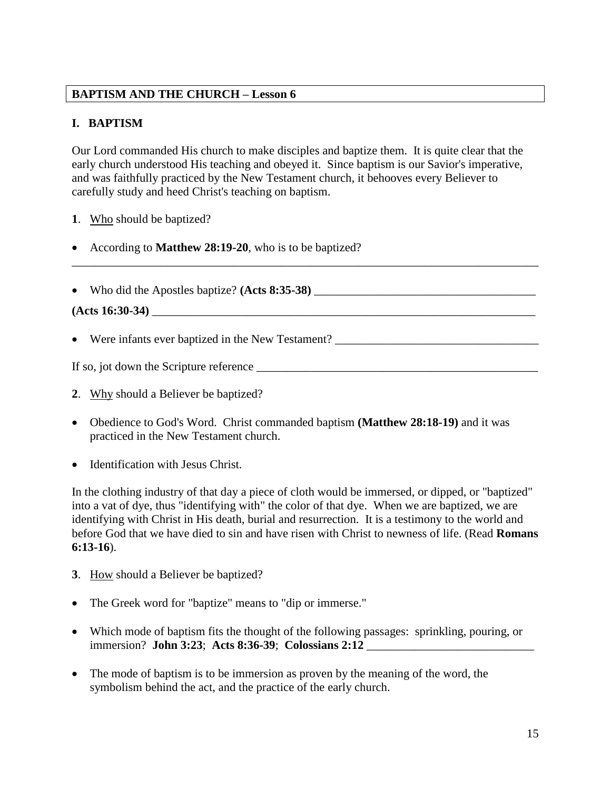# **BAPTISM AND THE CHURCH – Lesson 6**

# **I. BAPTISM**

Our Lord commanded His church to make disciples and baptize them. It is quite clear that the early church understood His teaching and obeyed it. Since baptism is our Savior's imperative, and was faithfully practiced by the New Testament church, it behooves every Believer to carefully study and heed Christ's teaching on baptism.

- **1**. Who should be baptized?
- According to **Matthew 28:19-20**, who is to be baptized?
- Who did the Apostles baptize? **(Acts 8:35-38)** \_\_\_\_\_\_\_\_\_\_\_\_\_\_\_\_\_\_\_\_\_\_\_\_\_\_\_\_\_\_\_\_\_\_\_\_\_ **(Acts 16:30-34)** \_\_\_\_\_\_\_\_\_\_\_\_\_\_\_\_\_\_\_\_\_\_\_\_\_\_\_\_\_\_\_\_\_\_\_\_\_\_\_\_\_\_\_\_\_\_\_\_\_\_\_\_\_\_\_\_\_\_\_\_\_\_\_\_
- Were infants ever baptized in the New Testament?

If so, jot down the Scripture reference \_\_\_\_\_\_\_\_\_\_\_\_\_\_\_\_\_\_\_\_\_\_\_\_\_\_\_\_\_\_\_\_\_\_\_\_\_\_\_\_\_\_\_\_\_\_\_

\_\_\_\_\_\_\_\_\_\_\_\_\_\_\_\_\_\_\_\_\_\_\_\_\_\_\_\_\_\_\_\_\_\_\_\_\_\_\_\_\_\_\_\_\_\_\_\_\_\_\_\_\_\_\_\_\_\_\_\_\_\_\_\_\_\_\_\_\_\_\_\_\_\_\_\_\_\_

- **2**. Why should a Believer be baptized?
- Obedience to God's Word. Christ commanded baptism **(Matthew 28:18-19)** and it was practiced in the New Testament church.
- Identification with Jesus Christ.

In the clothing industry of that day a piece of cloth would be immersed, or dipped, or "baptized" into a vat of dye, thus "identifying with" the color of that dye. When we are baptized, we are identifying with Christ in His death, burial and resurrection. It is a testimony to the world and before God that we have died to sin and have risen with Christ to newness of life. (Read **Romans 6:13-16**).

- **3**. How should a Believer be baptized?
- The Greek word for "baptize" means to "dip or immerse."
- Which mode of baptism fits the thought of the following passages: sprinkling, pouring, or immersion? **John 3:23**; **Acts 8:36-39**; **Colossians 2:12** \_\_\_\_\_\_\_\_\_\_\_\_\_\_\_\_\_\_\_\_\_\_\_\_\_\_\_\_
- The mode of baptism is to be immersion as proven by the meaning of the word, the symbolism behind the act, and the practice of the early church.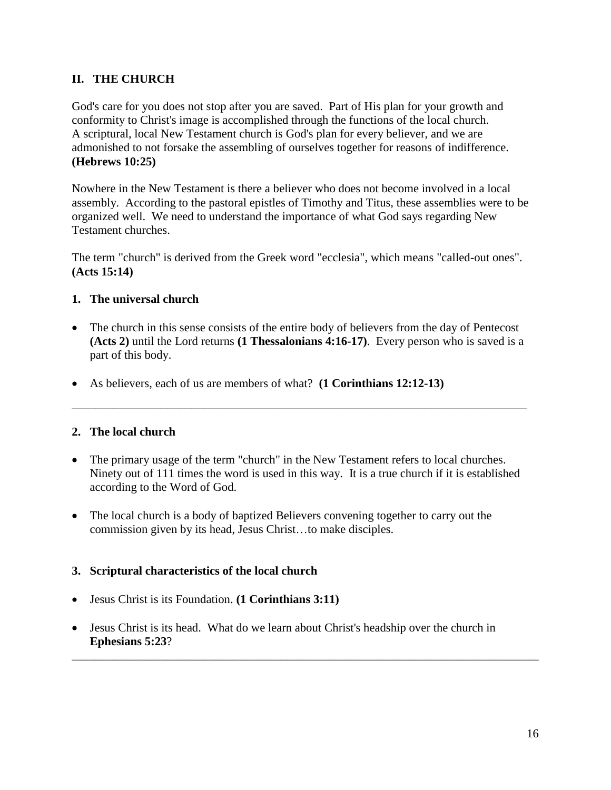# **II. THE CHURCH**

God's care for you does not stop after you are saved. Part of His plan for your growth and conformity to Christ's image is accomplished through the functions of the local church. A scriptural, local New Testament church is God's plan for every believer, and we are admonished to not forsake the assembling of ourselves together for reasons of indifference. **(Hebrews 10:25)**

Nowhere in the New Testament is there a believer who does not become involved in a local assembly. According to the pastoral epistles of Timothy and Titus, these assemblies were to be organized well. We need to understand the importance of what God says regarding New Testament churches.

The term "church" is derived from the Greek word "ecclesia", which means "called-out ones". **(Acts 15:14)**

# **1. The universal church**

• The church in this sense consists of the entire body of believers from the day of Pentecost **(Acts 2)** until the Lord returns **(1 Thessalonians 4:16-17)**. Every person who is saved is a part of this body.

\_\_\_\_\_\_\_\_\_\_\_\_\_\_\_\_\_\_\_\_\_\_\_\_\_\_\_\_\_\_\_\_\_\_\_\_\_\_\_\_\_\_\_\_\_\_\_\_\_\_\_\_\_\_\_\_\_\_\_\_\_\_\_\_\_\_\_\_\_\_\_\_\_\_\_\_

As believers, each of us are members of what? **(1 Corinthians 12:12-13)**

# **2. The local church**

- The primary usage of the term "church" in the New Testament refers to local churches. Ninety out of 111 times the word is used in this way. It is a true church if it is established according to the Word of God.
- The local church is a body of baptized Believers convening together to carry out the commission given by its head, Jesus Christ…to make disciples.

### **3. Scriptural characteristics of the local church**

- Jesus Christ is its Foundation. **(1 Corinthians 3:11)**
- Jesus Christ is its head. What do we learn about Christ's headship over the church in **Ephesians 5:23**?

\_\_\_\_\_\_\_\_\_\_\_\_\_\_\_\_\_\_\_\_\_\_\_\_\_\_\_\_\_\_\_\_\_\_\_\_\_\_\_\_\_\_\_\_\_\_\_\_\_\_\_\_\_\_\_\_\_\_\_\_\_\_\_\_\_\_\_\_\_\_\_\_\_\_\_\_\_\_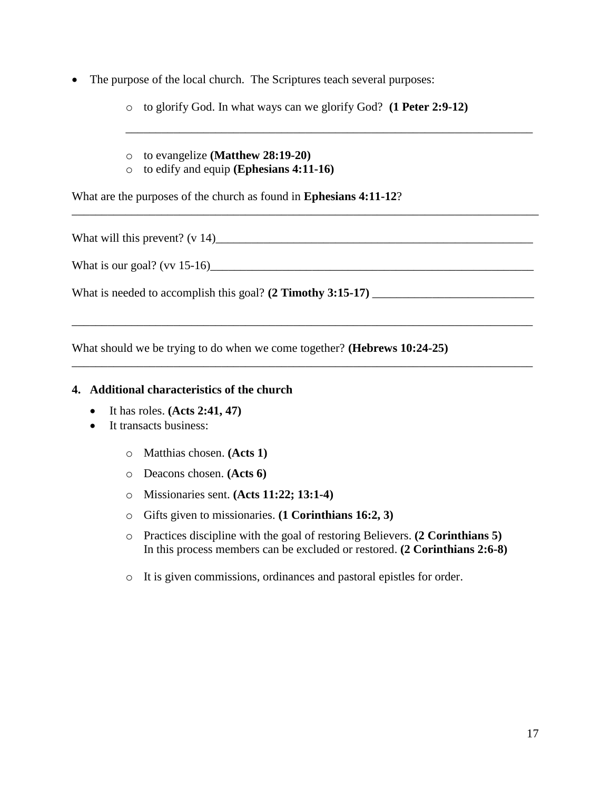• The purpose of the local church. The Scriptures teach several purposes:

o to glorify God. In what ways can we glorify God? **(1 Peter 2:9-12)**

\_\_\_\_\_\_\_\_\_\_\_\_\_\_\_\_\_\_\_\_\_\_\_\_\_\_\_\_\_\_\_\_\_\_\_\_\_\_\_\_\_\_\_\_\_\_\_\_\_\_\_\_\_\_\_\_\_\_\_\_\_\_\_\_\_\_\_\_\_\_\_\_\_\_\_\_\_\_

\_\_\_\_\_\_\_\_\_\_\_\_\_\_\_\_\_\_\_\_\_\_\_\_\_\_\_\_\_\_\_\_\_\_\_\_\_\_\_\_\_\_\_\_\_\_\_\_\_\_\_\_\_\_\_\_\_\_\_\_\_\_\_\_\_\_\_\_\_\_\_\_\_\_\_\_\_

\_\_\_\_\_\_\_\_\_\_\_\_\_\_\_\_\_\_\_\_\_\_\_\_\_\_\_\_\_\_\_\_\_\_\_\_\_\_\_\_\_\_\_\_\_\_\_\_\_\_\_\_\_\_\_\_\_\_\_\_\_\_\_\_\_\_\_\_\_\_\_\_\_\_\_\_\_

\_\_\_\_\_\_\_\_\_\_\_\_\_\_\_\_\_\_\_\_\_\_\_\_\_\_\_\_\_\_\_\_\_\_\_\_\_\_\_\_\_\_\_\_\_\_\_\_\_\_\_\_\_\_\_\_\_\_\_\_\_\_\_\_\_\_\_\_

- o to evangelize **(Matthew 28:19-20)**
- o to edify and equip **(Ephesians 4:11-16)**

What are the purposes of the church as found in **Ephesians 4:11-12**?

What will this prevent? (v 14)\_\_\_\_\_\_\_\_\_\_\_\_\_\_\_\_\_\_\_\_\_\_\_\_\_\_\_\_\_\_\_\_\_\_\_\_\_\_\_\_\_\_\_\_\_\_\_\_\_\_\_\_\_

What is our goal? (vv 15-16)\_\_\_\_\_\_\_\_\_\_\_\_\_\_\_\_\_\_\_\_\_\_\_\_\_\_\_\_\_\_\_\_\_\_\_\_\_\_\_\_\_\_\_\_\_\_\_\_\_\_\_\_\_\_

What is needed to accomplish this goal? **(2 Timothy 3:15-17)** \_\_\_\_\_\_\_\_\_\_\_\_\_\_\_\_\_\_\_\_\_\_\_\_\_\_\_

What should we be trying to do when we come together? **(Hebrews 10:24-25)**

### **4. Additional characteristics of the church**

- It has roles. **(Acts 2:41, 47)**
- It transacts business:
	- o Matthias chosen. **(Acts 1)**
	- o Deacons chosen. **(Acts 6)**
	- o Missionaries sent. **(Acts 11:22; 13:1-4)**
	- o Gifts given to missionaries. **(1 Corinthians 16:2, 3)**
	- o Practices discipline with the goal of restoring Believers. **(2 Corinthians 5)** In this process members can be excluded or restored. **(2 Corinthians 2:6-8)**
	- o It is given commissions, ordinances and pastoral epistles for order.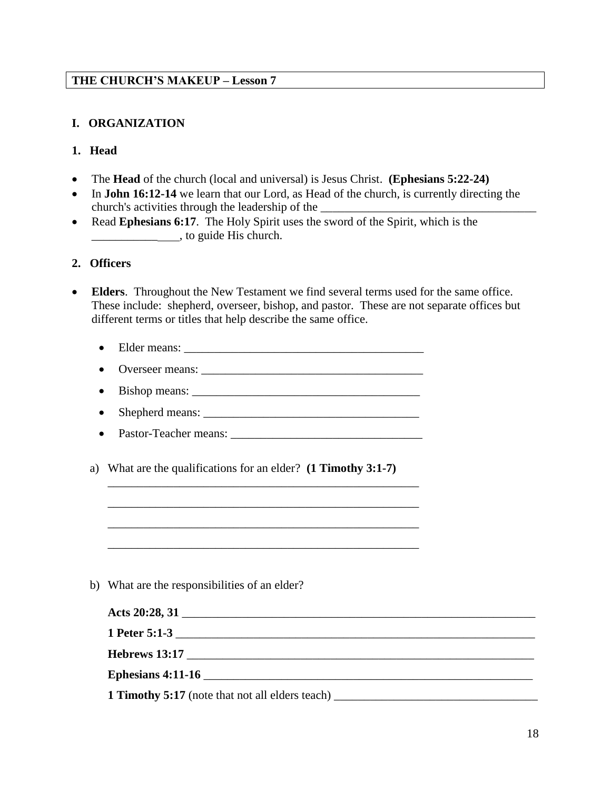# **I. ORGANIZATION**

### **1. Head**

- The **Head** of the church (local and universal) is Jesus Christ. **(Ephesians 5:22-24)**
- In **John 16:12-14** we learn that our Lord, as Head of the church, is currently directing the church's activities through the leadership of the
- Read **Ephesians 6:17**. The Holy Spirit uses the sword of the Spirit, which is the \_\_\_\_\_\_\_\_\_\_\_ , to guide His church.

### **2. Officers**

- **Elders**. Throughout the New Testament we find several terms used for the same office. These include: shepherd, overseer, bishop, and pastor. These are not separate offices but different terms or titles that help describe the same office.
	- Elder means: \_\_\_\_\_\_\_\_\_\_\_\_\_\_\_\_\_\_\_\_\_\_\_\_\_\_\_\_\_\_\_\_\_\_\_\_\_\_\_\_
	- Overseer means: \_\_\_\_\_\_\_\_\_\_\_\_\_\_\_\_\_\_\_\_\_\_\_\_\_\_\_\_\_\_\_\_\_\_\_\_\_
	- Bishop means:
	- Shepherd means:  $\frac{1}{\sqrt{1-\frac{1}{2}}}\left[\frac{1}{2}\right]$
	- Pastor-Teacher means:

\_\_\_\_\_\_\_\_\_\_\_\_\_\_\_\_\_\_\_\_\_\_\_\_\_\_\_\_\_\_\_\_\_\_\_\_\_\_\_\_\_\_\_\_\_\_\_\_\_\_\_\_

\_\_\_\_\_\_\_\_\_\_\_\_\_\_\_\_\_\_\_\_\_\_\_\_\_\_\_\_\_\_\_\_\_\_\_\_\_\_\_\_\_\_\_\_\_\_\_\_\_\_\_\_

\_\_\_\_\_\_\_\_\_\_\_\_\_\_\_\_\_\_\_\_\_\_\_\_\_\_\_\_\_\_\_\_\_\_\_\_\_\_\_\_\_\_\_\_\_\_\_\_\_\_\_\_

\_\_\_\_\_\_\_\_\_\_\_\_\_\_\_\_\_\_\_\_\_\_\_\_\_\_\_\_\_\_\_\_\_\_\_\_\_\_\_\_\_\_\_\_\_\_\_\_\_\_\_\_

a) What are the qualifications for an elder? **(1 Timothy 3:1-7)**

b) What are the responsibilities of an elder?

| <b>1 Timothy 5:17</b> (note that not all elders teach) ________________________________ |  |
|-----------------------------------------------------------------------------------------|--|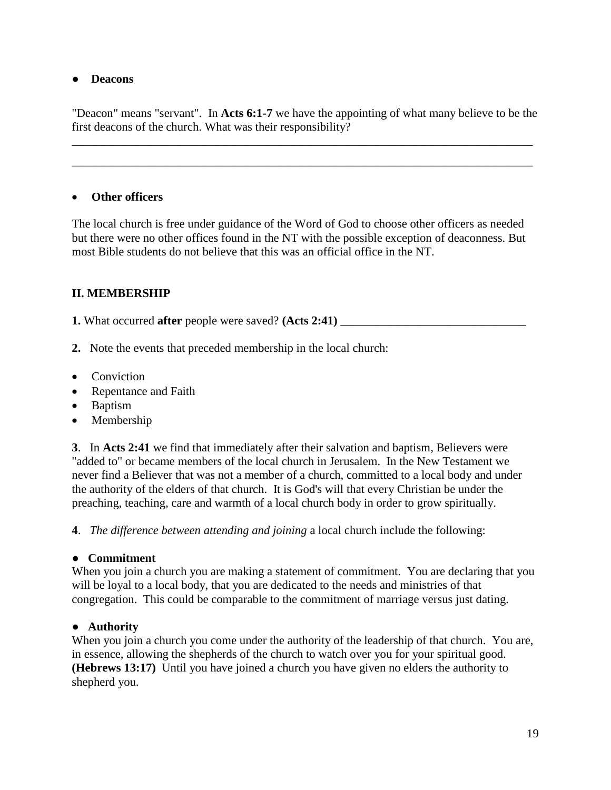### ● **Deacons**

"Deacon" means "servant". In **Acts 6:1-7** we have the appointing of what many believe to be the first deacons of the church. What was their responsibility?

\_\_\_\_\_\_\_\_\_\_\_\_\_\_\_\_\_\_\_\_\_\_\_\_\_\_\_\_\_\_\_\_\_\_\_\_\_\_\_\_\_\_\_\_\_\_\_\_\_\_\_\_\_\_\_\_\_\_\_\_\_\_\_\_\_\_\_\_\_\_\_\_\_\_\_\_\_

\_\_\_\_\_\_\_\_\_\_\_\_\_\_\_\_\_\_\_\_\_\_\_\_\_\_\_\_\_\_\_\_\_\_\_\_\_\_\_\_\_\_\_\_\_\_\_\_\_\_\_\_\_\_\_\_\_\_\_\_\_\_\_\_\_\_\_\_\_\_\_\_\_\_\_\_\_

# **Other officers**

The local church is free under guidance of the Word of God to choose other officers as needed but there were no other offices found in the NT with the possible exception of deaconness. But most Bible students do not believe that this was an official office in the NT.

# **II. MEMBERSHIP**

**1.** What occurred **after** people were saved? **(Acts 2:41)** \_\_\_\_\_\_\_\_\_\_\_\_\_\_\_\_\_\_\_\_\_\_\_\_\_\_\_\_\_\_\_

- **2.** Note the events that preceded membership in the local church:
- Conviction
- Repentance and Faith
- Baptism
- Membership

**3**. In **Acts 2:41** we find that immediately after their salvation and baptism, Believers were "added to" or became members of the local church in Jerusalem. In the New Testament we never find a Believer that was not a member of a church, committed to a local body and under the authority of the elders of that church. It is God's will that every Christian be under the preaching, teaching, care and warmth of a local church body in order to grow spiritually.

**4**. *The difference between attending and joining* a local church include the following:

# **● Commitment**

When you join a church you are making a statement of commitment. You are declaring that you will be loyal to a local body, that you are dedicated to the needs and ministries of that congregation. This could be comparable to the commitment of marriage versus just dating.

# **● Authority**

When you join a church you come under the authority of the leadership of that church. You are, in essence, allowing the shepherds of the church to watch over you for your spiritual good. **(Hebrews 13:17)** Until you have joined a church you have given no elders the authority to shepherd you.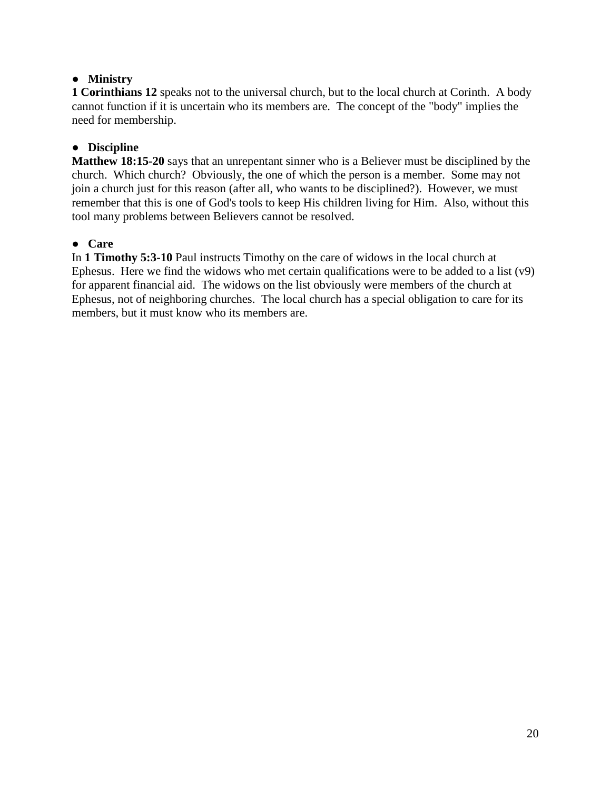# **● Ministry**

**1 Corinthians 12** speaks not to the universal church, but to the local church at Corinth. A body cannot function if it is uncertain who its members are. The concept of the "body" implies the need for membership.

# **● Discipline**

**Matthew 18:15-20** says that an unrepentant sinner who is a Believer must be disciplined by the church. Which church? Obviously, the one of which the person is a member. Some may not join a church just for this reason (after all, who wants to be disciplined?). However, we must remember that this is one of God's tools to keep His children living for Him. Also, without this tool many problems between Believers cannot be resolved.

# **● Care**

In **1 Timothy 5:3-10** Paul instructs Timothy on the care of widows in the local church at Ephesus. Here we find the widows who met certain qualifications were to be added to a list (v9) for apparent financial aid. The widows on the list obviously were members of the church at Ephesus, not of neighboring churches. The local church has a special obligation to care for its members, but it must know who its members are.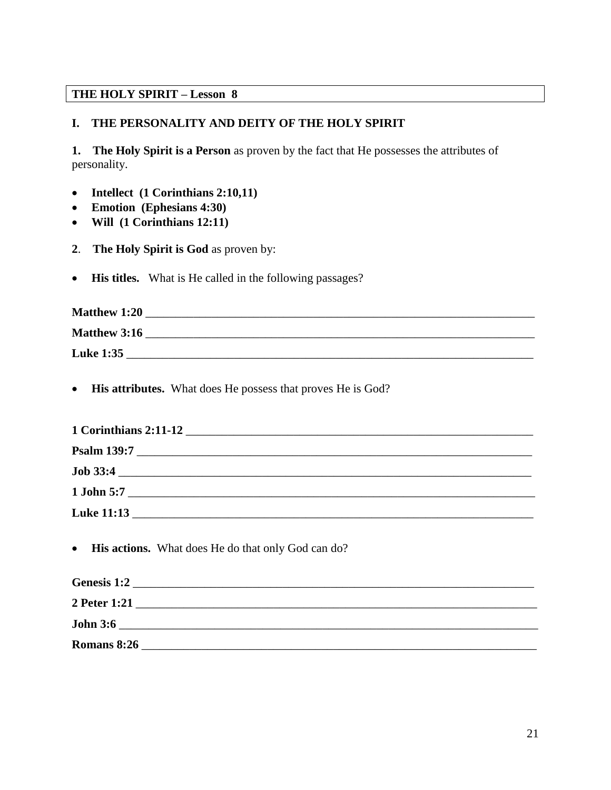# **THE HOLY SPIRIT – Lesson 8**

# **I. THE PERSONALITY AND DEITY OF THE HOLY SPIRIT**

**1. The Holy Spirit is a Person** as proven by the fact that He possesses the attributes of personality.

- **Intellect (1 Corinthians 2:10,11)**
- **Emotion (Ephesians 4:30)**
- **Will (1 Corinthians 12:11)**
- **2**. **The Holy Spirit is God** as proven by:
- **His titles.** What is He called in the following passages?

| <b>Matthew 1:20</b> |  |
|---------------------|--|
| <b>Matthew 3:16</b> |  |
| <b>Luke 1:35</b>    |  |

**His attributes.** What does He possess that proves He is God?

| 1 Corinthians 2:11-12<br>and the control of the control of the control of the control of the control of the control of the control of the |  |  |  |
|-------------------------------------------------------------------------------------------------------------------------------------------|--|--|--|
|                                                                                                                                           |  |  |  |
| <b>Job 33:4</b>                                                                                                                           |  |  |  |
| $1$ John 5:7                                                                                                                              |  |  |  |
| <b>Luke 11:13</b>                                                                                                                         |  |  |  |

• His actions. What does He do that only God can do?

| Genesis 1:2     |  |
|-----------------|--|
| 2 Peter 1:21    |  |
| <b>John 3:6</b> |  |
| Romans 8:26     |  |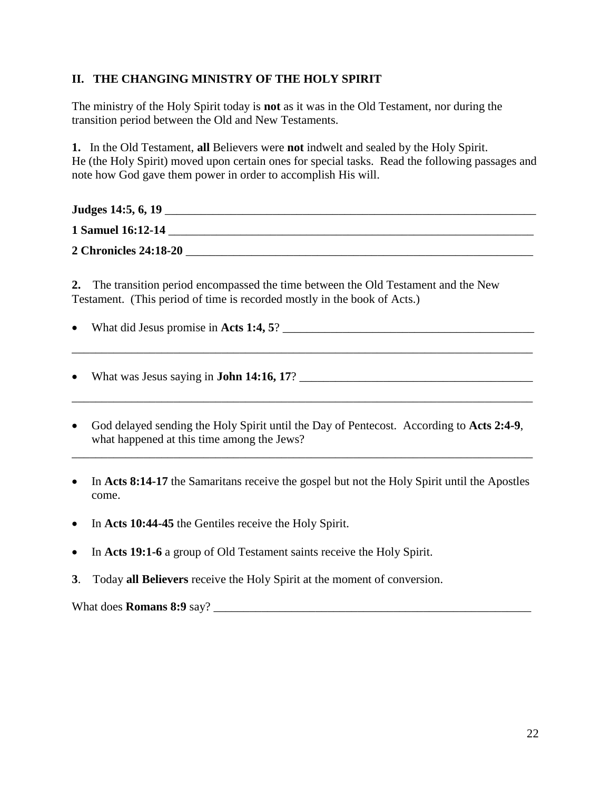# **II. THE CHANGING MINISTRY OF THE HOLY SPIRIT**

The ministry of the Holy Spirit today is **not** as it was in the Old Testament, nor during the transition period between the Old and New Testaments.

**1.** In the Old Testament, **all** Believers were **not** indwelt and sealed by the Holy Spirit. He (the Holy Spirit) moved upon certain ones for special tasks. Read the following passages and note how God gave them power in order to accomplish His will.

| Judges 14:5, 6, 19           |  |  |
|------------------------------|--|--|
| 1 Samuel 16:12-14            |  |  |
| <b>2 Chronicles 24:18-20</b> |  |  |

**2.** The transition period encompassed the time between the Old Testament and the New Testament. (This period of time is recorded mostly in the book of Acts.)

What did Jesus promise in **Acts 1:4, 5**? \_\_\_\_\_\_\_\_\_\_\_\_\_\_\_\_\_\_\_\_\_\_\_\_\_\_\_\_\_\_\_\_\_\_\_\_\_\_\_\_\_\_

\_\_\_\_\_\_\_\_\_\_\_\_\_\_\_\_\_\_\_\_\_\_\_\_\_\_\_\_\_\_\_\_\_\_\_\_\_\_\_\_\_\_\_\_\_\_\_\_\_\_\_\_\_\_\_\_\_\_\_\_\_\_\_\_\_\_\_\_\_\_\_\_\_\_\_\_\_

\_\_\_\_\_\_\_\_\_\_\_\_\_\_\_\_\_\_\_\_\_\_\_\_\_\_\_\_\_\_\_\_\_\_\_\_\_\_\_\_\_\_\_\_\_\_\_\_\_\_\_\_\_\_\_\_\_\_\_\_\_\_\_\_\_\_\_\_\_\_\_\_\_\_\_\_\_

What was Jesus saying in **John 14:16, 17**? \_\_\_\_\_\_\_\_\_\_\_\_\_\_\_\_\_\_\_\_\_\_\_\_\_\_\_\_\_\_\_\_\_\_\_\_\_\_\_

- God delayed sending the Holy Spirit until the Day of Pentecost. According to **Acts 2:4-9**, what happened at this time among the Jews?
- In **Acts 8:14-17** the Samaritans receive the gospel but not the Holy Spirit until the Apostles come.

\_\_\_\_\_\_\_\_\_\_\_\_\_\_\_\_\_\_\_\_\_\_\_\_\_\_\_\_\_\_\_\_\_\_\_\_\_\_\_\_\_\_\_\_\_\_\_\_\_\_\_\_\_\_\_\_\_\_\_\_\_\_\_\_\_\_\_\_\_\_\_\_\_\_\_\_\_

- In Acts 10:44-45 the Gentiles receive the Holy Spirit.
- In **Acts 19:1-6** a group of Old Testament saints receive the Holy Spirit.
- **3**. Today **all Believers** receive the Holy Spirit at the moment of conversion.

What does **Romans** 8:9 say?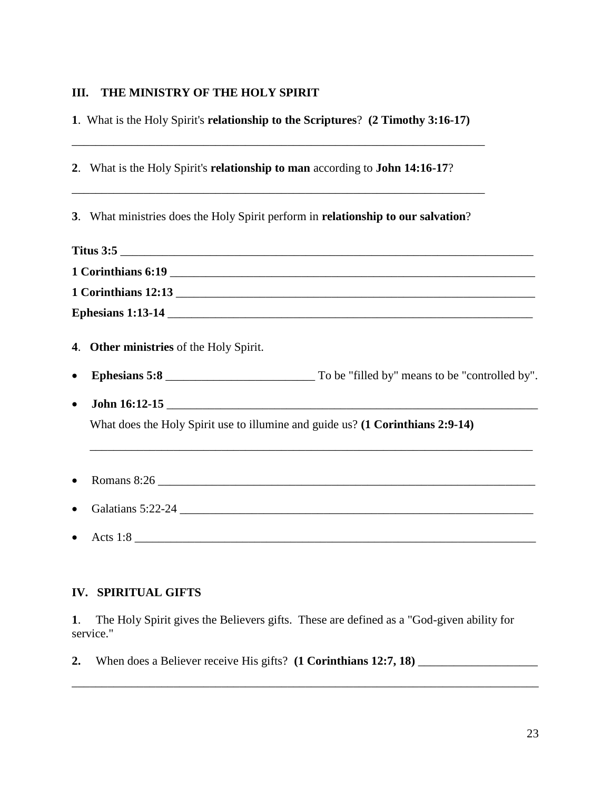# **III. THE MINISTRY OF THE HOLY SPIRIT**

**1**. What is the Holy Spirit's **relationship to the Scriptures**? **(2 Timothy 3:16-17)**

\_\_\_\_\_\_\_\_\_\_\_\_\_\_\_\_\_\_\_\_\_\_\_\_\_\_\_\_\_\_\_\_\_\_\_\_\_\_\_\_\_\_\_\_\_\_\_\_\_\_\_\_\_\_\_\_\_\_\_\_\_\_\_\_\_\_\_\_\_

|           | 2. What is the Holy Spirit's relationship to man according to John 14:16-17?<br>,我们也不能在这里的时候,我们也不能在这里的时候,我们也不能会在这里的时候,我们也不能会在这里的时候,我们也不能会在这里的时候,我们也不能会在这里的时候,我们也不 |  |
|-----------|-------------------------------------------------------------------------------------------------------------------------------------------------------------------|--|
|           | 3. What ministries does the Holy Spirit perform in relationship to our salvation?                                                                                 |  |
|           | Titus 3:5                                                                                                                                                         |  |
|           |                                                                                                                                                                   |  |
|           | 1 Corinthians 12:13                                                                                                                                               |  |
|           |                                                                                                                                                                   |  |
|           | 4. Other ministries of the Holy Spirit.                                                                                                                           |  |
| $\bullet$ |                                                                                                                                                                   |  |
| $\bullet$ |                                                                                                                                                                   |  |
|           | What does the Holy Spirit use to illumine and guide us? (1 Corinthians 2:9-14)                                                                                    |  |
|           | ,我们也不能在这里的时候,我们也不能在这里的时候,我们也不能会在这里,我们也不能会不能会不能会不能会不能会不能会不能会。""我们的是我们的,我们也不能会不能会不                                                                                  |  |
| $\bullet$ |                                                                                                                                                                   |  |
| $\bullet$ |                                                                                                                                                                   |  |
|           | Acts 1:8                                                                                                                                                          |  |

# **IV. SPIRITUAL GIFTS**

**1**. The Holy Spirit gives the Believers gifts. These are defined as a "God-given ability for service."

\_\_\_\_\_\_\_\_\_\_\_\_\_\_\_\_\_\_\_\_\_\_\_\_\_\_\_\_\_\_\_\_\_\_\_\_\_\_\_\_\_\_\_\_\_\_\_\_\_\_\_\_\_\_\_\_\_\_\_\_\_\_\_\_\_\_\_\_\_\_\_\_\_\_\_\_\_\_

**2.** When does a Believer receive His gifts? **(1 Corinthians 12:7, 18)** \_\_\_\_\_\_\_\_\_\_\_\_\_\_\_\_\_\_\_\_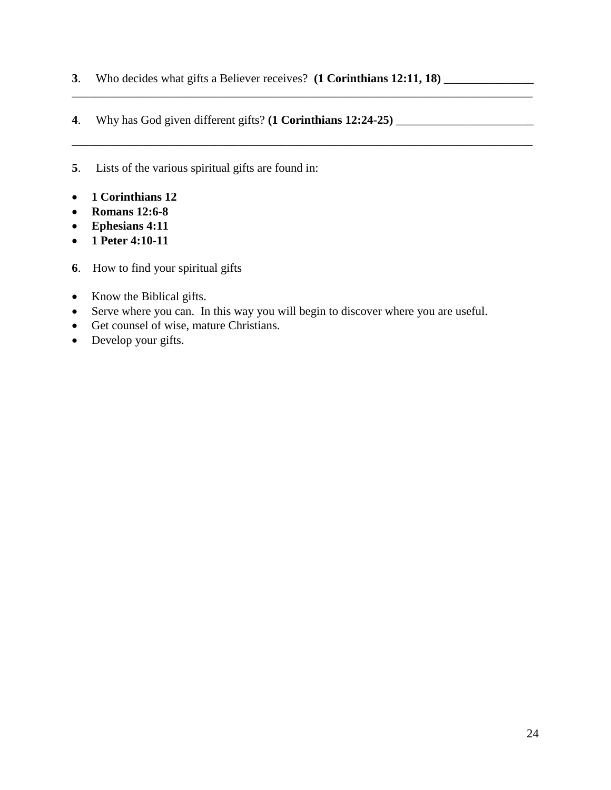**3**. Who decides what gifts a Believer receives? **(1 Corinthians 12:11, 18)** \_\_\_\_\_\_\_\_\_\_\_\_\_\_\_

\_\_\_\_\_\_\_\_\_\_\_\_\_\_\_\_\_\_\_\_\_\_\_\_\_\_\_\_\_\_\_\_\_\_\_\_\_\_\_\_\_\_\_\_\_\_\_\_\_\_\_\_\_\_\_\_\_\_\_\_\_\_\_\_\_\_\_\_\_\_\_\_\_\_\_\_\_

\_\_\_\_\_\_\_\_\_\_\_\_\_\_\_\_\_\_\_\_\_\_\_\_\_\_\_\_\_\_\_\_\_\_\_\_\_\_\_\_\_\_\_\_\_\_\_\_\_\_\_\_\_\_\_\_\_\_\_\_\_\_\_\_\_\_\_\_\_\_\_\_\_\_\_\_\_

- **4**. Why has God given different gifts? **(1 Corinthians 12:24-25)** \_\_\_\_\_\_\_\_\_\_\_\_\_\_\_\_\_\_\_\_\_\_\_
- **5**. Lists of the various spiritual gifts are found in:
- **1 Corinthians 12**
- **Romans 12:6-8**
- **Ephesians 4:11**
- **1 Peter 4:10-11**
- **6**. How to find your spiritual gifts
- Know the Biblical gifts.
- Serve where you can. In this way you will begin to discover where you are useful.
- Get counsel of wise, mature Christians.
- Develop your gifts.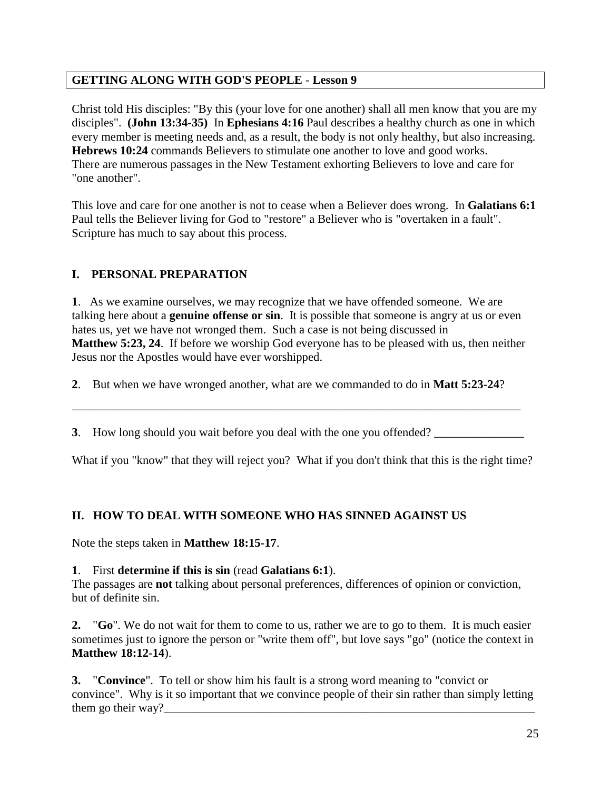# **GETTING ALONG WITH GOD'S PEOPLE** - **Lesson 9**

Christ told His disciples: "By this (your love for one another) shall all men know that you are my disciples". **(John 13:34-35)** In **Ephesians 4:16** Paul describes a healthy church as one in which every member is meeting needs and, as a result, the body is not only healthy, but also increasing. **Hebrews 10:24** commands Believers to stimulate one another to love and good works. There are numerous passages in the New Testament exhorting Believers to love and care for "one another".

This love and care for one another is not to cease when a Believer does wrong. In **Galatians 6:1** Paul tells the Believer living for God to "restore" a Believer who is "overtaken in a fault". Scripture has much to say about this process.

# **I. PERSONAL PREPARATION**

**1**. As we examine ourselves, we may recognize that we have offended someone. We are talking here about a **genuine offense or sin**. It is possible that someone is angry at us or even hates us, yet we have not wronged them. Such a case is not being discussed in **Matthew 5:23, 24**. If before we worship God everyone has to be pleased with us, then neither Jesus nor the Apostles would have ever worshipped.

**2**. But when we have wronged another, what are we commanded to do in **Matt 5:23-24**?

**3**. How long should you wait before you deal with the one you offended? \_\_\_\_\_\_\_\_\_\_\_\_\_\_

\_\_\_\_\_\_\_\_\_\_\_\_\_\_\_\_\_\_\_\_\_\_\_\_\_\_\_\_\_\_\_\_\_\_\_\_\_\_\_\_\_\_\_\_\_\_\_\_\_\_\_\_\_\_\_\_\_\_\_\_\_\_\_\_\_\_\_\_\_\_\_\_\_\_\_

What if you "know" that they will reject you? What if you don't think that this is the right time?

# **II. HOW TO DEAL WITH SOMEONE WHO HAS SINNED AGAINST US**

Note the steps taken in **Matthew 18:15-17**.

# **1**. First **determine if this is sin** (read **Galatians 6:1**).

The passages are **not** talking about personal preferences, differences of opinion or conviction, but of definite sin.

**2.** "**Go**". We do not wait for them to come to us, rather we are to go to them. It is much easier sometimes just to ignore the person or "write them off", but love says "go" (notice the context in **Matthew 18:12-14**).

**3.** "**Convince**". To tell or show him his fault is a strong word meaning to "convict or convince". Why is it so important that we convince people of their sin rather than simply letting them go their way?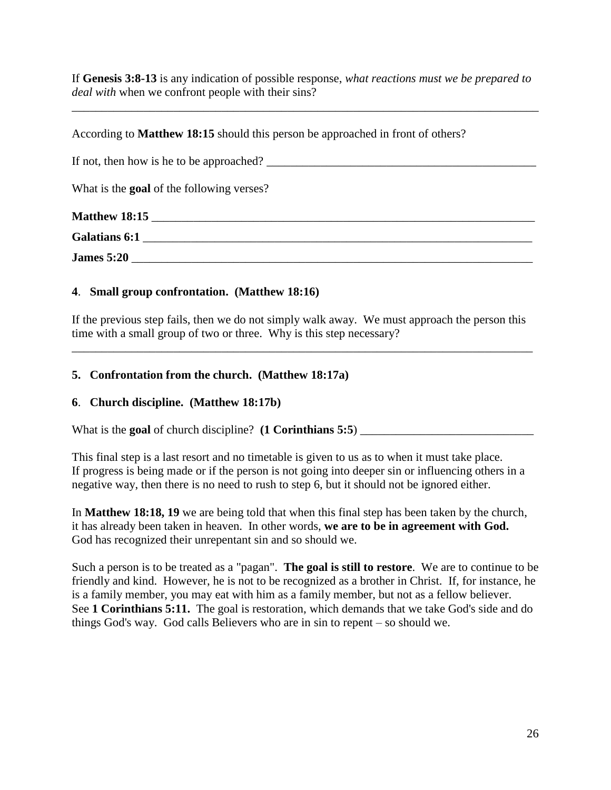If **Genesis 3:8-13** is any indication of possible response, *what reactions must we be prepared to deal with* when we confront people with their sins?

\_\_\_\_\_\_\_\_\_\_\_\_\_\_\_\_\_\_\_\_\_\_\_\_\_\_\_\_\_\_\_\_\_\_\_\_\_\_\_\_\_\_\_\_\_\_\_\_\_\_\_\_\_\_\_\_\_\_\_\_\_\_\_\_\_\_\_\_\_\_\_\_\_\_\_\_\_\_

According to **Matthew 18:15** should this person be approached in front of others?

If not, then how is he to be approached?

What is the **goal** of the following verses?

| <b>Matthew 18:15</b> |  |
|----------------------|--|
| <b>Galatians 6:1</b> |  |
| <b>James 5:20</b>    |  |

# **4**. **Small group confrontation. (Matthew 18:16)**

If the previous step fails, then we do not simply walk away. We must approach the person this time with a small group of two or three. Why is this step necessary?

\_\_\_\_\_\_\_\_\_\_\_\_\_\_\_\_\_\_\_\_\_\_\_\_\_\_\_\_\_\_\_\_\_\_\_\_\_\_\_\_\_\_\_\_\_\_\_\_\_\_\_\_\_\_\_\_\_\_\_\_\_\_\_\_\_\_\_\_\_\_\_\_\_\_\_\_\_

# **5. Confrontation from the church. (Matthew 18:17a)**

# **6**. **Church discipline. (Matthew 18:17b)**

What is the **goal** of church discipline?  $(1$  **Corinthians** 5:5 $)$ 

This final step is a last resort and no timetable is given to us as to when it must take place. If progress is being made or if the person is not going into deeper sin or influencing others in a negative way, then there is no need to rush to step 6, but it should not be ignored either.

In **Matthew 18:18, 19** we are being told that when this final step has been taken by the church, it has already been taken in heaven. In other words, **we are to be in agreement with God.**  God has recognized their unrepentant sin and so should we.

Such a person is to be treated as a "pagan". **The goal is still to restore**. We are to continue to be friendly and kind. However, he is not to be recognized as a brother in Christ. If, for instance, he is a family member, you may eat with him as a family member, but not as a fellow believer. See **1 Corinthians 5:11.** The goal is restoration, which demands that we take God's side and do things God's way. God calls Believers who are in sin to repent – so should we.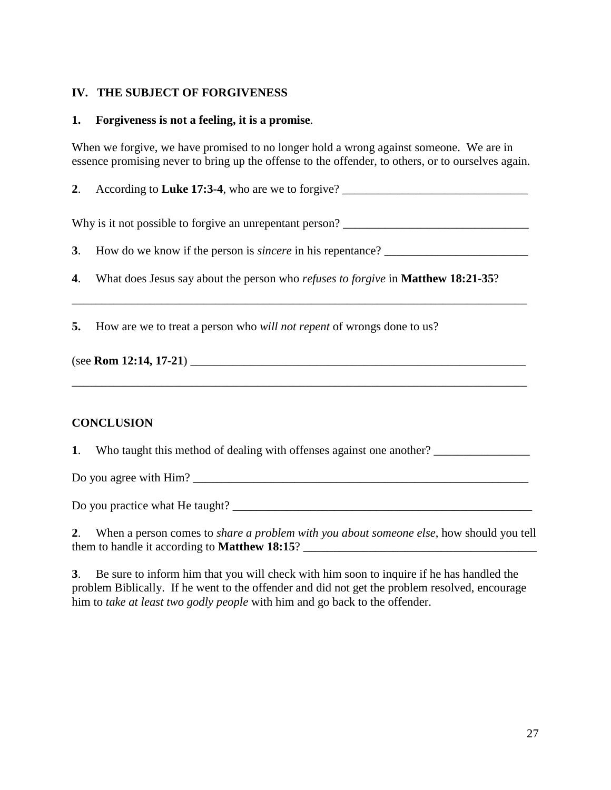### **IV. THE SUBJECT OF FORGIVENESS**

### **1. Forgiveness is not a feeling, it is a promise**.

When we forgive, we have promised to no longer hold a wrong against someone. We are in essence promising never to bring up the offense to the offender, to others, or to ourselves again.

**2**. According to **Luke 17:3-4**, who are we to forgive? \_\_\_\_\_\_\_\_\_\_\_\_\_\_\_\_\_\_\_\_\_\_\_\_\_\_\_\_\_\_\_

Why is it not possible to forgive an unrepentant person? \_\_\_\_\_\_\_\_\_\_\_\_\_\_\_\_\_\_\_\_\_\_\_\_\_\_\_\_\_\_\_

**3**. How do we know if the person is *sincere* in his repentance?

\_\_\_\_\_\_\_\_\_\_\_\_\_\_\_\_\_\_\_\_\_\_\_\_\_\_\_\_\_\_\_\_\_\_\_\_\_\_\_\_\_\_\_\_\_\_\_\_\_\_\_\_\_\_\_\_\_\_\_\_\_\_\_\_\_\_\_\_\_\_\_\_\_\_\_\_

\_\_\_\_\_\_\_\_\_\_\_\_\_\_\_\_\_\_\_\_\_\_\_\_\_\_\_\_\_\_\_\_\_\_\_\_\_\_\_\_\_\_\_\_\_\_\_\_\_\_\_\_\_\_\_\_\_\_\_\_\_\_\_\_\_\_\_\_\_\_\_\_\_\_\_\_

**4**. What does Jesus say about the person who *refuses to forgive* in **Matthew 18:21-35**?

**5.** How are we to treat a person who *will not repent* of wrongs done to us?

| (see Rom 12:14, 17-21) |  |  |
|------------------------|--|--|
|------------------------|--|--|

### **CONCLUSION**

**1**. Who taught this method of dealing with offenses against one another?

Do you agree with  $\lim$ ?

Do you practice what He taught? \_\_\_\_\_\_\_\_\_\_\_\_\_\_\_\_\_\_\_\_\_\_\_\_\_\_\_\_\_\_\_\_\_\_\_\_\_\_\_\_\_\_\_\_\_\_\_\_\_\_

**2**. When a person comes to *share a problem with you about someone else*, how should you tell them to handle it according to **Matthew 18:15**? \_\_\_\_\_\_\_\_\_\_\_\_\_\_\_\_\_\_\_\_\_\_\_\_\_\_\_\_\_\_\_\_\_\_\_\_\_\_\_

**3**. Be sure to inform him that you will check with him soon to inquire if he has handled the problem Biblically. If he went to the offender and did not get the problem resolved, encourage him to *take at least two godly people* with him and go back to the offender.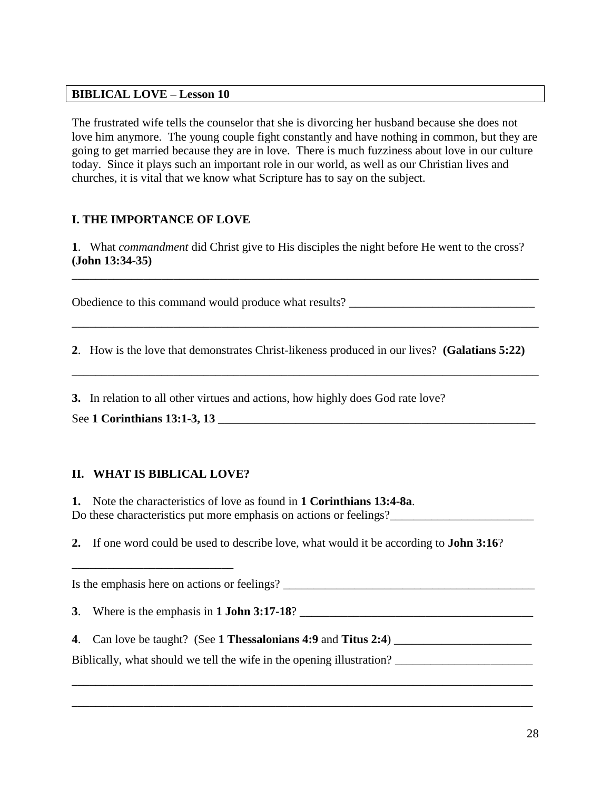### **BIBLICAL LOVE – Lesson 10**

The frustrated wife tells the counselor that she is divorcing her husband because she does not love him anymore. The young couple fight constantly and have nothing in common, but they are going to get married because they are in love. There is much fuzziness about love in our culture today. Since it plays such an important role in our world, as well as our Christian lives and churches, it is vital that we know what Scripture has to say on the subject.

# **I. THE IMPORTANCE OF LOVE**

**1**. What *commandment* did Christ give to His disciples the night before He went to the cross? **(John 13:34-35)**

\_\_\_\_\_\_\_\_\_\_\_\_\_\_\_\_\_\_\_\_\_\_\_\_\_\_\_\_\_\_\_\_\_\_\_\_\_\_\_\_\_\_\_\_\_\_\_\_\_\_\_\_\_\_\_\_\_\_\_\_\_\_\_\_\_\_\_\_\_\_\_\_\_\_\_\_\_\_

\_\_\_\_\_\_\_\_\_\_\_\_\_\_\_\_\_\_\_\_\_\_\_\_\_\_\_\_\_\_\_\_\_\_\_\_\_\_\_\_\_\_\_\_\_\_\_\_\_\_\_\_\_\_\_\_\_\_\_\_\_\_\_\_\_\_\_\_\_\_\_\_\_\_\_\_\_\_

\_\_\_\_\_\_\_\_\_\_\_\_\_\_\_\_\_\_\_\_\_\_\_\_\_\_\_\_\_\_\_\_\_\_\_\_\_\_\_\_\_\_\_\_\_\_\_\_\_\_\_\_\_\_\_\_\_\_\_\_\_\_\_\_\_\_\_\_\_\_\_\_\_\_\_\_\_\_

Obedience to this command would produce what results? \_\_\_\_\_\_\_\_\_\_\_\_\_\_\_\_\_\_\_\_\_\_\_\_\_\_\_

**2**. How is the love that demonstrates Christ-likeness produced in our lives? **(Galatians 5:22)**

**3.** In relation to all other virtues and actions, how highly does God rate love?

See **1 Corinthians 13:1-3, 13** \_\_\_\_\_\_\_\_\_\_\_\_\_\_\_\_\_\_\_\_\_\_\_\_\_\_\_\_\_\_\_\_\_\_\_\_\_\_\_\_\_\_\_\_\_\_\_\_\_\_\_\_\_

# **II. WHAT IS BIBLICAL LOVE?**

\_\_\_\_\_\_\_\_\_\_\_\_\_\_\_\_\_\_\_\_\_\_\_\_\_\_\_

**1.** Note the characteristics of love as found in **1 Corinthians 13:4-8a**. Do these characteristics put more emphasis on actions or feelings?

**2.** If one word could be used to describe love, what would it be according to **John 3:16**?

Is the emphasis here on actions or feelings? \_\_\_\_\_\_\_\_\_\_\_\_\_\_\_\_\_\_\_\_\_\_\_\_\_\_\_\_\_\_\_\_\_\_\_\_\_\_\_\_\_\_ **3**. Where is the emphasis in **1 John 3:17-18**? \_\_\_\_\_\_\_\_\_\_\_\_\_\_\_\_\_\_\_\_\_\_\_\_\_\_\_\_\_\_\_\_\_\_\_\_\_\_\_ **4**. Can love be taught? (See **1 Thessalonians 4:9** and **Titus 2:4**) \_\_\_\_\_\_\_\_\_\_\_\_\_\_\_\_\_\_\_\_\_\_\_ Biblically, what should we tell the wife in the opening illustration? \_\_\_\_\_\_\_\_\_\_\_\_\_\_\_\_\_\_\_\_\_\_\_\_\_\_\_\_\_\_\_\_\_\_\_\_\_\_\_\_\_\_\_\_\_\_\_\_\_\_\_\_\_\_\_\_\_\_\_\_\_\_\_\_\_\_\_\_\_\_\_\_\_\_\_\_\_

\_\_\_\_\_\_\_\_\_\_\_\_\_\_\_\_\_\_\_\_\_\_\_\_\_\_\_\_\_\_\_\_\_\_\_\_\_\_\_\_\_\_\_\_\_\_\_\_\_\_\_\_\_\_\_\_\_\_\_\_\_\_\_\_\_\_\_\_\_\_\_\_\_\_\_\_\_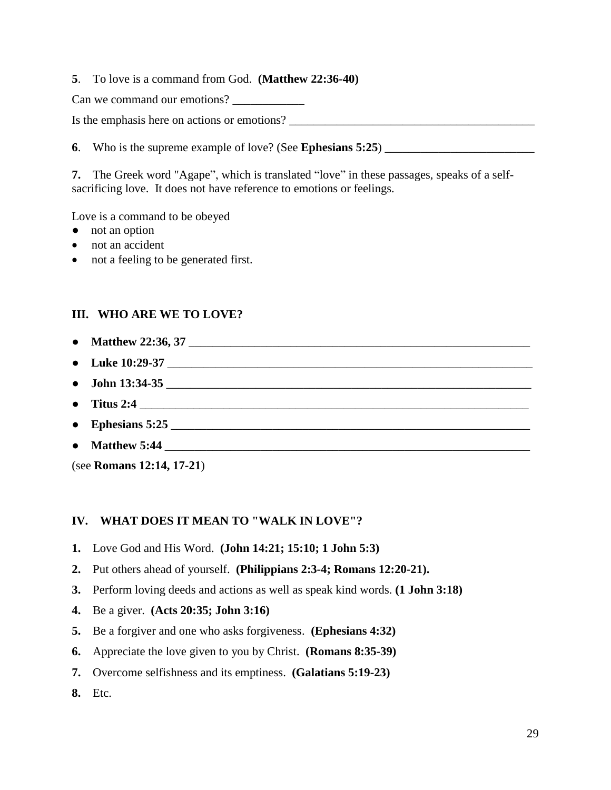**5**. To love is a command from God. **(Matthew 22:36-40)**

Can we command our emotions?

Is the emphasis here on actions or emotions? \_\_\_\_\_\_\_\_\_\_\_\_\_\_\_\_\_\_\_\_\_\_\_\_\_\_\_\_\_\_\_\_\_\_\_\_\_\_\_\_\_

**6**. Who is the supreme example of love? (See **Ephesians 5:25**)

**7.** The Greek word "Agape", which is translated "love" in these passages, speaks of a selfsacrificing love. It does not have reference to emotions or feelings.

Love is a command to be obeyed

- not an option
- not an accident
- not a feeling to be generated first.

# **III. WHO ARE WE TO LOVE?**

- **Matthew 22:36, 37**
- Luke 10:29-37
- **John 13:34-35**
- **Titus 2:4** \_\_\_\_\_\_\_\_\_\_\_\_\_\_\_\_\_\_\_\_\_\_\_\_\_\_\_\_\_\_\_\_\_\_\_\_\_\_\_\_\_\_\_\_\_\_\_\_\_\_\_\_\_\_\_\_\_\_\_\_\_\_\_\_\_
- **Ephesians 5:25** \_\_\_\_\_\_\_\_\_\_\_\_\_\_\_\_\_\_\_\_\_\_\_\_\_\_\_\_\_\_\_\_\_\_\_\_\_\_\_\_\_\_\_\_\_\_\_\_\_\_\_\_\_\_\_\_\_\_\_\_
- **Matthew 5:44** \_\_\_\_\_\_\_\_\_\_\_\_\_\_\_\_\_\_\_\_\_\_\_\_\_\_\_\_\_\_\_\_\_\_\_\_\_\_\_\_\_\_\_\_\_\_\_\_\_\_\_\_\_\_\_\_\_\_\_\_\_

(see **Romans 12:14, 17-21**)

### **IV. WHAT DOES IT MEAN TO "WALK IN LOVE"?**

- **1.** Love God and His Word. **(John 14:21; 15:10; 1 John 5:3)**
- **2.** Put others ahead of yourself. **(Philippians 2:3-4; Romans 12:20-21).**
- **3.** Perform loving deeds and actions as well as speak kind words. **(1 John 3:18)**
- **4.** Be a giver. **(Acts 20:35; John 3:16)**
- **5.** Be a forgiver and one who asks forgiveness. **(Ephesians 4:32)**
- **6.** Appreciate the love given to you by Christ. **(Romans 8:35-39)**
- **7.** Overcome selfishness and its emptiness. **(Galatians 5:19-23)**
- **8.** Etc.